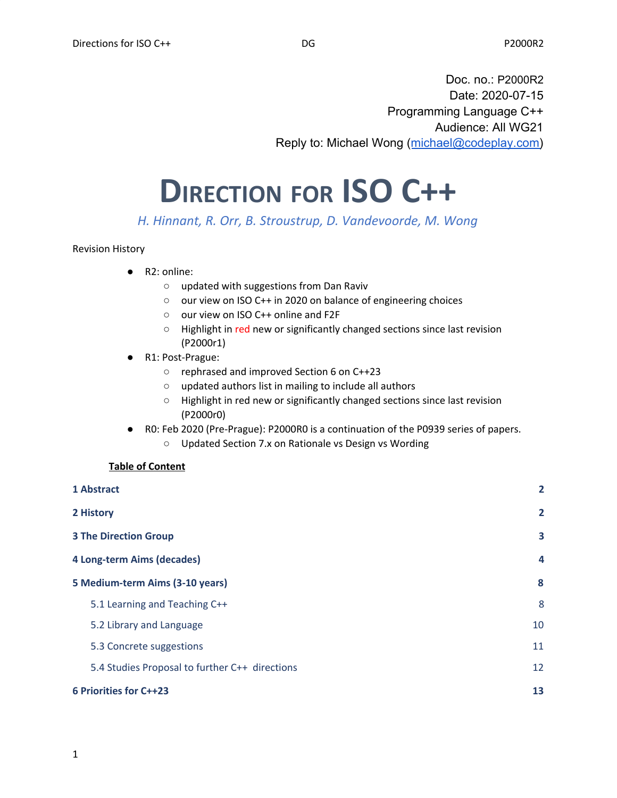Doc. no.: P2000R2 Date: 2020-07-15 Programming Language C++ Audience: All WG21 Reply to: Michael Wong ([michael@codeplay.com\)](mailto:michael@codeplay.com)

# **DIRECTION FOR ISO C++**

*H. Hinnant, R. Orr, B. Stroustrup, D. Vandevoorde, M. Wong*

#### Revision History

- R2: online:
	- updated with suggestions from Dan Raviv
	- our view on ISO C++ in 2020 on balance of engineering choices
	- our view on ISO C++ online and F2F
	- Highlight in red new or significantly changed sections since last revision (P2000r1)
- R1: Post-Prague:
	- rephrased and improved Section 6 on C++23
	- updated authors list in mailing to include all authors
	- Highlight in red new or significantly changed sections since last revision (P2000r0)
- R0: Feb 2020 (Pre-Prague): P2000R0 is a continuation of the P0939 series of papers.
	- Updated Section 7.x on Rationale vs Design vs Wording

#### **Table of Content**

| 1 Abstract                                     | $\overline{2}$ |
|------------------------------------------------|----------------|
| 2 History                                      | $\overline{2}$ |
| <b>3 The Direction Group</b>                   | 3              |
| 4 Long-term Aims (decades)                     | $\overline{a}$ |
| 5 Medium-term Aims (3-10 years)                | 8              |
| 5.1 Learning and Teaching C++                  | 8              |
| 5.2 Library and Language                       | 10             |
| 5.3 Concrete suggestions                       | 11             |
| 5.4 Studies Proposal to further C++ directions | 12             |
| <b>6 Priorities for C++23</b>                  | 13             |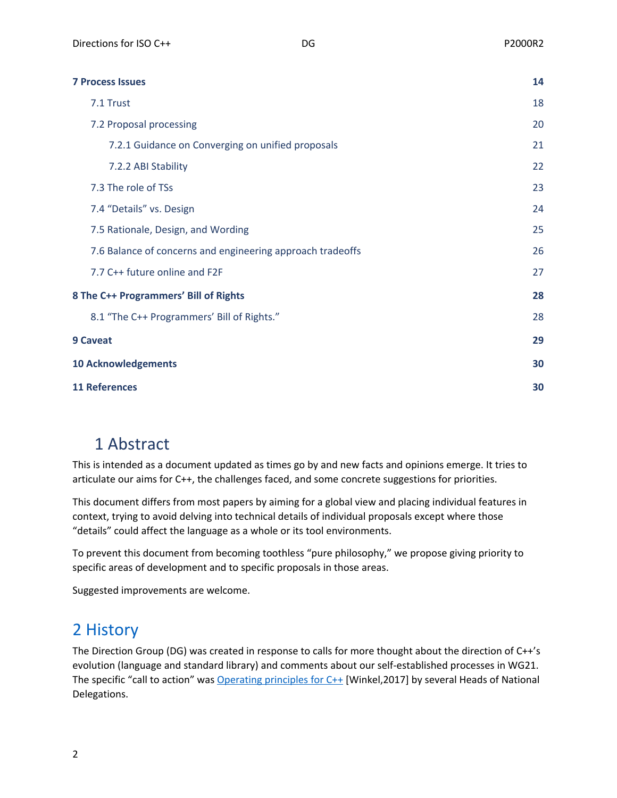| <b>7 Process Issues</b>                                    | 14 |
|------------------------------------------------------------|----|
| 7.1 Trust                                                  | 18 |
| 7.2 Proposal processing                                    | 20 |
| 7.2.1 Guidance on Converging on unified proposals          | 21 |
| 7.2.2 ABI Stability                                        | 22 |
| 7.3 The role of TSs                                        | 23 |
| 7.4 "Details" vs. Design                                   | 24 |
| 7.5 Rationale, Design, and Wording                         | 25 |
| 7.6 Balance of concerns and engineering approach tradeoffs | 26 |
| 7.7 C++ future online and F2F                              | 27 |
| 8 The C++ Programmers' Bill of Rights                      | 28 |
| 8.1 "The C++ Programmers' Bill of Rights."                 | 28 |
| <b>9 Caveat</b>                                            | 29 |
| <b>10 Acknowledgements</b>                                 | 30 |
| <b>11 References</b>                                       | 30 |

# <span id="page-1-0"></span>1 Abstract

This is intended as a document updated as times go by and new facts and opinions emerge. It tries to articulate our aims for C++, the challenges faced, and some concrete suggestions for priorities.

This document differs from most papers by aiming for a global view and placing individual features in context, trying to avoid delving into technical details of individual proposals except where those "details" could affect the language as a whole or its tool environments.

To prevent this document from becoming toothless "pure philosophy," we propose giving priority to specific areas of development and to specific proposals in those areas.

Suggested improvements are welcome.

# <span id="page-1-1"></span>2 History

The Direction Group (DG) was created in response to calls for more thought about the direction of C++'s evolution (language and standard library) and comments about our self-established processes in WG21. The specific "call to action" was [Operating](http://www.open-std.org/jtc1/sc22/wg21/docs/papers/2017/p0559r0.pdf) principles for C++ [Winkel,2017] by several Heads of National Delegations.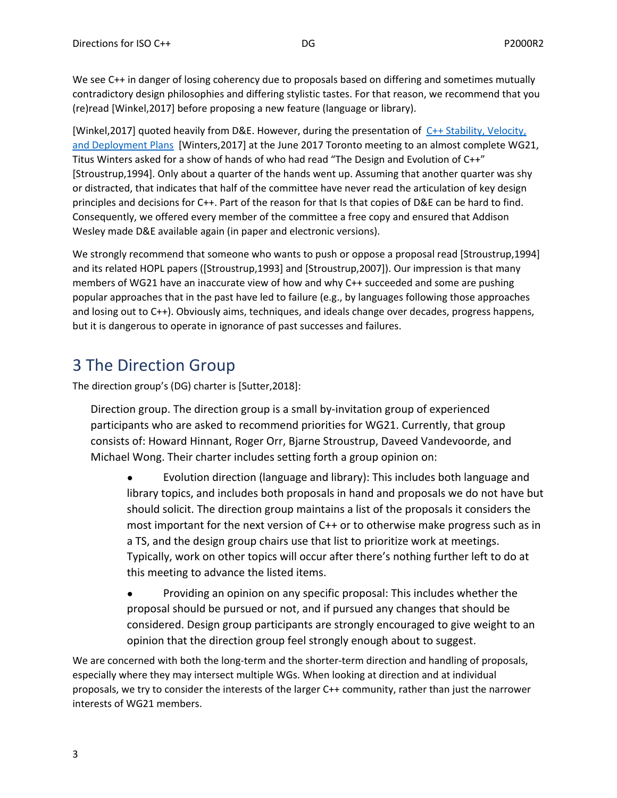We see C++ in danger of losing coherency due to proposals based on differing and sometimes mutually contradictory design philosophies and differing stylistic tastes. For that reason, we recommend that you (re)read [Winkel,2017] before proposing a new feature (language or library).

[Winkel,2017] quoted heavily from D&E. However, during the presentation of C++ [Stability,](http://www.open-std.org/jtc1/sc22/wg21/docs/papers/2017/p0684r0.pdf) Velocity, and [Deployment](http://www.open-std.org/jtc1/sc22/wg21/docs/papers/2017/p0684r0.pdf) Plans [Winters,2017] at the June 2017 Toronto meeting to an almost complete WG21, Titus Winters asked for a show of hands of who had read "The Design and Evolution of C++" [Stroustrup,1994]. Only about a quarter of the hands went up. Assuming that another quarter was shy or distracted, that indicates that half of the committee have never read the articulation of key design principles and decisions for C++. Part of the reason for that Is that copies of D&E can be hard to find. Consequently, we offered every member of the committee a free copy and ensured that Addison Wesley made D&E available again (in paper and electronic versions).

We strongly recommend that someone who wants to push or oppose a proposal read [Stroustrup,1994] and its related HOPL papers ([Stroustrup,1993] and [Stroustrup,2007]). Our impression is that many members of WG21 have an inaccurate view of how and why C++ succeeded and some are pushing popular approaches that in the past have led to failure (e.g., by languages following those approaches and losing out to C++). Obviously aims, techniques, and ideals change over decades, progress happens, but it is dangerous to operate in ignorance of past successes and failures.

# <span id="page-2-0"></span>3 The Direction Group

The direction group's (DG) charter is [Sutter,2018]:

Direction group. The direction group is a small by-invitation group of experienced participants who are asked to recommend priorities for WG21. Currently, that group consists of: Howard Hinnant, Roger Orr, Bjarne Stroustrup, Daveed Vandevoorde, and Michael Wong. Their charter includes setting forth a group opinion on:

● Evolution direction (language and library): This includes both language and library topics, and includes both proposals in hand and proposals we do not have but should solicit. The direction group maintains a list of the proposals it considers the most important for the next version of C++ or to otherwise make progress such as in a TS, and the design group chairs use that list to prioritize work at meetings. Typically, work on other topics will occur after there's nothing further left to do at this meeting to advance the listed items.

● Providing an opinion on any specific proposal: This includes whether the proposal should be pursued or not, and if pursued any changes that should be considered. Design group participants are strongly encouraged to give weight to an opinion that the direction group feel strongly enough about to suggest.

We are concerned with both the long-term and the shorter-term direction and handling of proposals, especially where they may intersect multiple WGs. When looking at direction and at individual proposals, we try to consider the interests of the larger C++ community, rather than just the narrower interests of WG21 members.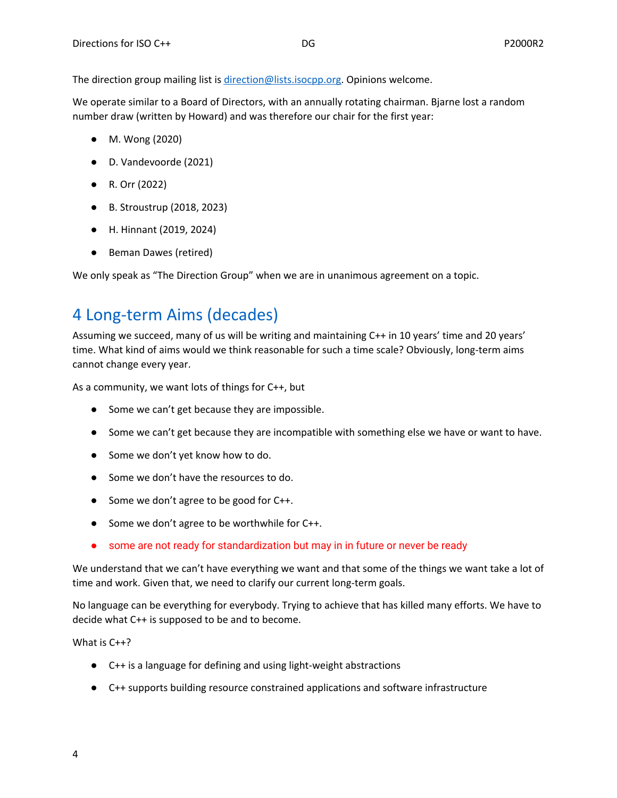The direction group mailing list is [direction@lists.isocpp.org.](mailto:direction@lists.isocpp.org) Opinions welcome.

We operate similar to a Board of Directors, with an annually rotating chairman. Bjarne lost a random number draw (written by Howard) and was therefore our chair for the first year:

- M. Wong (2020)
- D. Vandevoorde (2021)
- R. Orr (2022)
- B. Stroustrup (2018, 2023)
- H. Hinnant (2019, 2024)
- Beman Dawes (retired)

We only speak as "The Direction Group" when we are in unanimous agreement on a topic.

# <span id="page-3-0"></span>4 Long-term Aims (decades)

Assuming we succeed, many of us will be writing and maintaining C++ in 10 years' time and 20 years' time. What kind of aims would we think reasonable for such a time scale? Obviously, long-term aims cannot change every year.

As a community, we want lots of things for C++, but

- Some we can't get because they are impossible.
- Some we can't get because they are incompatible with something else we have or want to have.
- Some we don't yet know how to do.
- Some we don't have the resources to do.
- Some we don't agree to be good for C++.
- Some we don't agree to be worthwhile for C++.
- some are not ready for standardization but may in in future or never be ready

We understand that we can't have everything we want and that some of the things we want take a lot of time and work. Given that, we need to clarify our current long-term goals.

No language can be everything for everybody. Trying to achieve that has killed many efforts. We have to decide what C++ is supposed to be and to become.

What is C++?

- C++ is a language for defining and using light-weight abstractions
- C++ supports building resource constrained applications and software infrastructure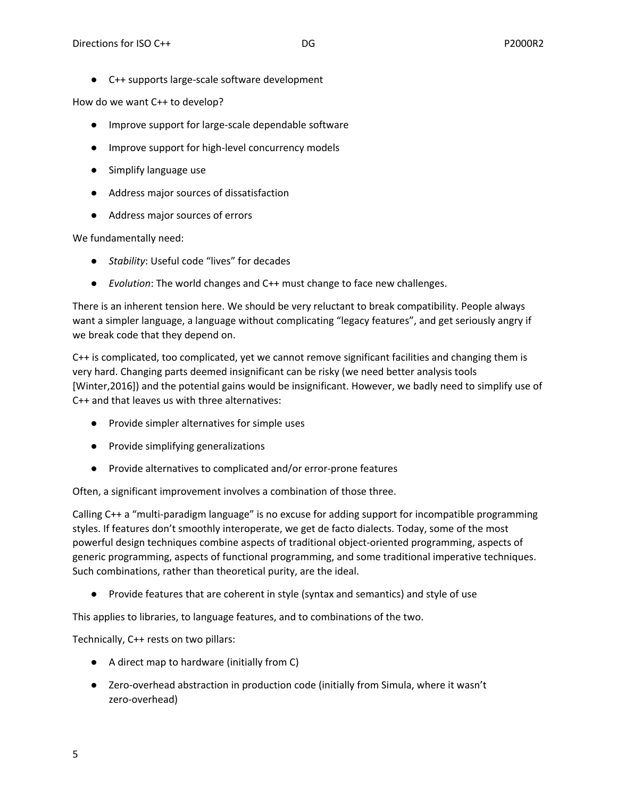● C++ supports large-scale software development

How do we want C++ to develop?

- Improve support for large-scale dependable software
- Improve support for high-level concurrency models
- Simplify language use
- Address major sources of dissatisfaction
- Address major sources of errors

We fundamentally need:

- *Stability*: Useful code "lives" for decades
- *Evolution*: The world changes and C++ must change to face new challenges.

There is an inherent tension here. We should be very reluctant to break compatibility. People always want a simpler language, a language without complicating "legacy features", and get seriously angry if we break code that they depend on.

C++ is complicated, too complicated, yet we cannot remove significant facilities and changing them is very hard. Changing parts deemed insignificant can be risky (we need better analysis tools [Winter,2016]) and the potential gains would be insignificant. However, we badly need to simplify use of C++ and that leaves us with three alternatives:

- Provide simpler alternatives for simple uses
- Provide simplifying generalizations
- Provide alternatives to complicated and/or error-prone features

Often, a significant improvement involves a combination of those three.

Calling C++ a "multi-paradigm language" is no excuse for adding support for incompatible programming styles. If features don't smoothly interoperate, we get de facto dialects. Today, some of the most powerful design techniques combine aspects of traditional object-oriented programming, aspects of generic programming, aspects of functional programming, and some traditional imperative techniques. Such combinations, rather than theoretical purity, are the ideal.

● Provide features that are coherent in style (syntax and semantics) and style of use

This applies to libraries, to language features, and to combinations of the two.

Technically, C++ rests on two pillars:

- A direct map to hardware (initially from C)
- Zero-overhead abstraction in production code (initially from Simula, where it wasn't zero-overhead)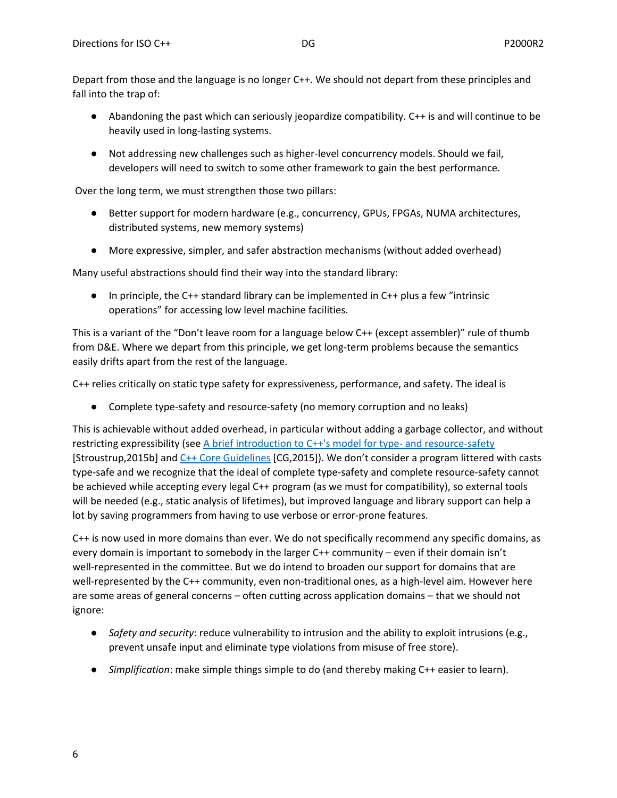Depart from those and the language is no longer C++. We should not depart from these principles and fall into the trap of:

- Abandoning the past which can seriously jeopardize compatibility. C++ is and will continue to be heavily used in long-lasting systems.
- Not addressing new challenges such as higher-level concurrency models. Should we fail, developers will need to switch to some other framework to gain the best performance.

Over the long term, we must strengthen those two pillars:

- Better support for modern hardware (e.g., concurrency, GPUs, FPGAs, NUMA architectures, distributed systems, new memory systems)
- More expressive, simpler, and safer abstraction mechanisms (without added overhead)

Many useful abstractions should find their way into the standard library:

● In principle, the C++ standard library can be implemented in C++ plus a few "intrinsic operations" for accessing low level machine facilities.

This is a variant of the "Don't leave room for a language below C++ (except assembler)" rule of thumb from D&E. Where we depart from this principle, we get long-term problems because the semantics easily drifts apart from the rest of the language.

C++ relies critically on static type safety for expressiveness, performance, and safety. The ideal is

● Complete type-safety and resource-safety (no memory corruption and no leaks)

This is achievable without added overhead, in particular without adding a garbage collector, and without restricting expressibility (see A brief introduction to C++'s model for type- and [resource-safety](http://www.stroustrup.com/resource-model.pdf) [Stroustrup,2015b] and C++ Core [Guidelines](https://github.com/isocpp/CppCoreGuidelines) [CG,2015]). We don't consider a program littered with casts type-safe and we recognize that the ideal of complete type-safety and complete resource-safety cannot be achieved while accepting every legal C++ program (as we must for compatibility), so external tools will be needed (e.g., static analysis of lifetimes), but improved language and library support can help a lot by saving programmers from having to use verbose or error-prone features.

C++ is now used in more domains than ever. We do not specifically recommend any specific domains, as every domain is important to somebody in the larger C++ community – even if their domain isn't well-represented in the committee. But we do intend to broaden our support for domains that are well-represented by the C++ community, even non-traditional ones, as a high-level aim. However here are some areas of general concerns – often cutting across application domains – that we should not ignore:

- *Safety and security*: reduce vulnerability to intrusion and the ability to exploit intrusions (e.g., prevent unsafe input and eliminate type violations from misuse of free store).
- *Simplification*: make simple things simple to do (and thereby making C++ easier to learn).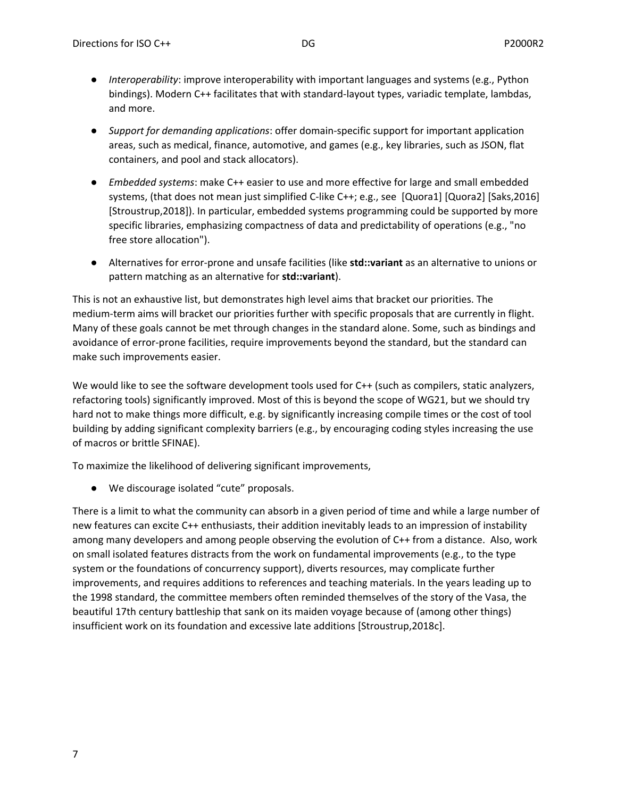- *Interoperability*: improve interoperability with important languages and systems (e.g., Python bindings). Modern C++ facilitates that with standard-layout types, variadic template, lambdas, and more.
- *Support for demanding applications*: offer domain-specific support for important application areas, such as medical, finance, automotive, and games (e.g., key libraries, such as JSON, flat containers, and pool and stack allocators).
- *Embedded systems*: make C++ easier to use and more effective for large and small embedded systems, (that does not mean just simplified C-like C++; e.g., see [Quora1] [Quora2] [Saks,2016] [Stroustrup,2018]). In particular, embedded systems programming could be supported by more specific libraries, emphasizing compactness of data and predictability of operations (e.g., "no free store allocation").
- Alternatives for error-prone and unsafe facilities (like **std::variant** as an alternative to unions or pattern matching as an alternative for **std::variant**).

This is not an exhaustive list, but demonstrates high level aims that bracket our priorities. The medium-term aims will bracket our priorities further with specific proposals that are currently in flight. Many of these goals cannot be met through changes in the standard alone. Some, such as bindings and avoidance of error-prone facilities, require improvements beyond the standard, but the standard can make such improvements easier.

We would like to see the software development tools used for C++ (such as compilers, static analyzers, refactoring tools) significantly improved. Most of this is beyond the scope of WG21, but we should try hard not to make things more difficult, e.g. by significantly increasing compile times or the cost of tool building by adding significant complexity barriers (e.g., by encouraging coding styles increasing the use of macros or brittle SFINAE).

To maximize the likelihood of delivering significant improvements,

● We discourage isolated "cute" proposals.

There is a limit to what the community can absorb in a given period of time and while a large number of new features can excite C++ enthusiasts, their addition inevitably leads to an impression of instability among many developers and among people observing the evolution of C++ from a distance. Also, work on small isolated features distracts from the work on fundamental improvements (e.g., to the type system or the foundations of concurrency support), diverts resources, may complicate further improvements, and requires additions to references and teaching materials. In the years leading up to the 1998 standard, the committee members often reminded themselves of the story of the Vasa, the beautiful 17th century battleship that sank on its maiden voyage because of (among other things) insufficient work on its foundation and excessive late additions [Stroustrup,2018c].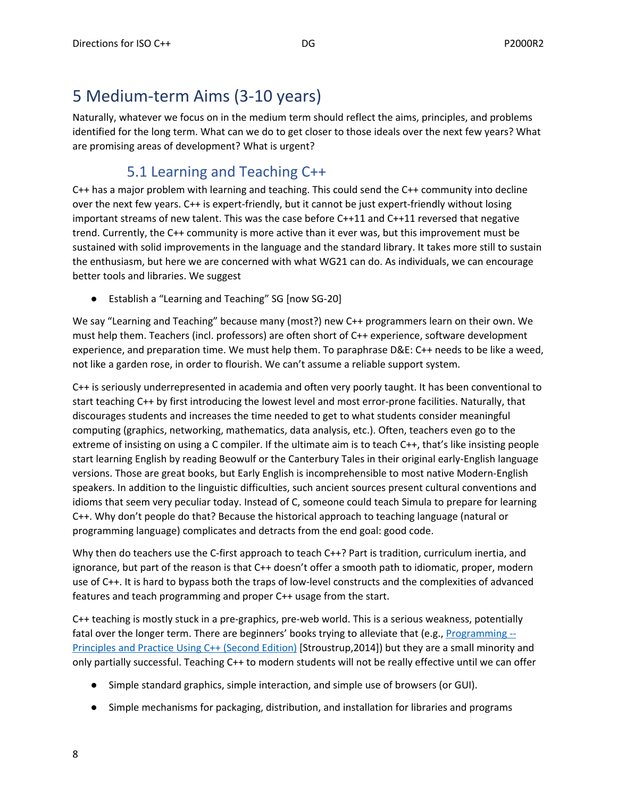# <span id="page-7-0"></span>5 Medium-term Aims (3-10 years)

Naturally, whatever we focus on in the medium term should reflect the aims, principles, and problems identified for the long term. What can we do to get closer to those ideals over the next few years? What are promising areas of development? What is urgent?

# 5.1 Learning and Teaching C++

<span id="page-7-1"></span>C++ has a major problem with learning and teaching. This could send the C++ community into decline over the next few years. C++ is expert-friendly, but it cannot be just expert-friendly without losing important streams of new talent. This was the case before C++11 and C++11 reversed that negative trend. Currently, the C++ community is more active than it ever was, but this improvement must be sustained with solid improvements in the language and the standard library. It takes more still to sustain the enthusiasm, but here we are concerned with what WG21 can do. As individuals, we can encourage better tools and libraries. We suggest

● Establish a "Learning and Teaching" SG [now SG-20]

We say "Learning and Teaching" because many (most?) new C++ programmers learn on their own. We must help them. Teachers (incl. professors) are often short of C++ experience, software development experience, and preparation time. We must help them. To paraphrase D&E: C++ needs to be like a weed, not like a garden rose, in order to flourish. We can't assume a reliable support system.

C++ is seriously underrepresented in academia and often very poorly taught. It has been conventional to start teaching C++ by first introducing the lowest level and most error-prone facilities. Naturally, that discourages students and increases the time needed to get to what students consider meaningful computing (graphics, networking, mathematics, data analysis, etc.). Often, teachers even go to the extreme of insisting on using a C compiler. If the ultimate aim is to teach C++, that's like insisting people start learning English by reading Beowulf or the Canterbury Tales in their original early-English language versions. Those are great books, but Early English is incomprehensible to most native Modern-English speakers. In addition to the linguistic difficulties, such ancient sources present cultural conventions and idioms that seem very peculiar today. Instead of C, someone could teach Simula to prepare for learning C++. Why don't people do that? Because the historical approach to teaching language (natural or programming language) complicates and detracts from the end goal: good code.

Why then do teachers use the C-first approach to teach C++? Part is tradition, curriculum inertia, and ignorance, but part of the reason is that C++ doesn't offer a smooth path to idiomatic, proper, modern use of C++. It is hard to bypass both the traps of low-level constructs and the complexities of advanced features and teach programming and proper C++ usage from the start.

C++ teaching is mostly stuck in a pre-graphics, pre-web world. This is a serious weakness, potentially fatal over the longer term. There are beginners' books trying to alleviate that (e.g., [Programming](http://www.stroustrup.com/programming.html)  $-$ [Principles](http://www.stroustrup.com/programming.html) and Practice Using C++ (Second Edition) [Stroustrup,2014]) but they are a small minority and only partially successful. Teaching C++ to modern students will not be really effective until we can offer

- Simple standard graphics, simple interaction, and simple use of browsers (or GUI).
- Simple mechanisms for packaging, distribution, and installation for libraries and programs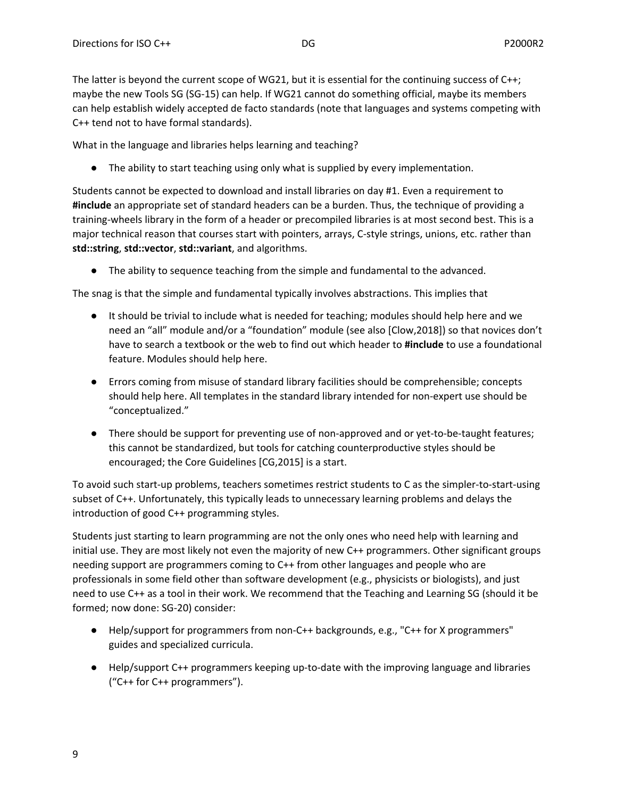The latter is beyond the current scope of WG21, but it is essential for the continuing success of C++; maybe the new Tools SG (SG-15) can help. If WG21 cannot do something official, maybe its members can help establish widely accepted de facto standards (note that languages and systems competing with C++ tend not to have formal standards).

What in the language and libraries helps learning and teaching?

● The ability to start teaching using only what is supplied by every implementation.

Students cannot be expected to download and install libraries on day #1. Even a requirement to **#include** an appropriate set of standard headers can be a burden. Thus, the technique of providing a training-wheels library in the form of a header or precompiled libraries is at most second best. This is a major technical reason that courses start with pointers, arrays, C-style strings, unions, etc. rather than **std::string**, **std::vector**, **std::variant**, and algorithms.

● The ability to sequence teaching from the simple and fundamental to the advanced.

The snag is that the simple and fundamental typically involves abstractions. This implies that

- It should be trivial to include what is needed for teaching; modules should help here and we need an "all" module and/or a "foundation" module (see also [Clow,2018]) so that novices don't have to search a textbook or the web to find out which header to **#include** to use a foundational feature. Modules should help here.
- Errors coming from misuse of standard library facilities should be comprehensible; concepts should help here. All templates in the standard library intended for non-expert use should be "conceptualized."
- There should be support for preventing use of non-approved and or yet-to-be-taught features; this cannot be standardized, but tools for catching counterproductive styles should be encouraged; the Core Guidelines [CG,2015] is a start.

To avoid such start-up problems, teachers sometimes restrict students to C as the simpler-to-start-using subset of C++. Unfortunately, this typically leads to unnecessary learning problems and delays the introduction of good C++ programming styles.

Students just starting to learn programming are not the only ones who need help with learning and initial use. They are most likely not even the majority of new C++ programmers. Other significant groups needing support are programmers coming to C++ from other languages and people who are professionals in some field other than software development (e.g., physicists or biologists), and just need to use C++ as a tool in their work. We recommend that the Teaching and Learning SG (should it be formed; now done: SG-20) consider:

- Help/support for programmers from non-C++ backgrounds, e.g., "C++ for X programmers" guides and specialized curricula.
- Help/support C++ programmers keeping up-to-date with the improving language and libraries ("C++ for C++ programmers").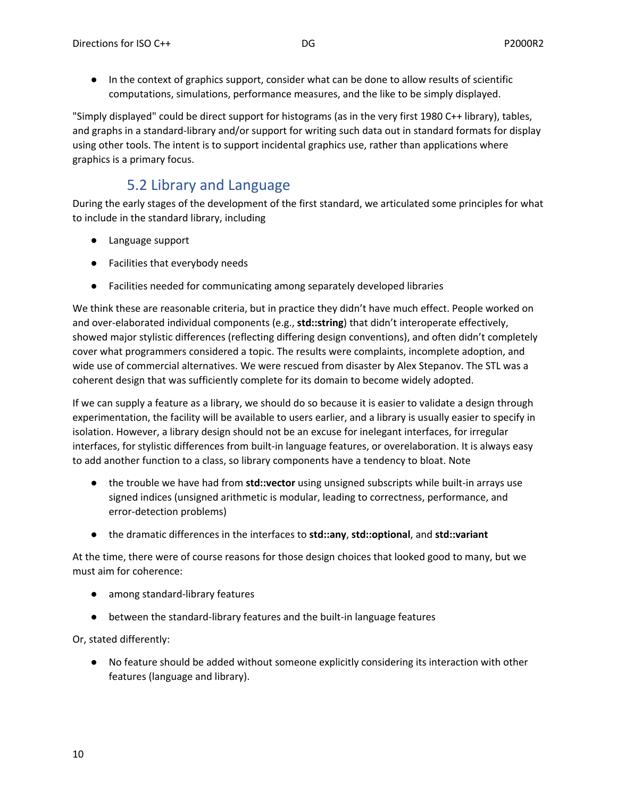● In the context of graphics support, consider what can be done to allow results of scientific computations, simulations, performance measures, and the like to be simply displayed.

"Simply displayed" could be direct support for histograms (as in the very first 1980 C++ library), tables, and graphs in a standard-library and/or support for writing such data out in standard formats for display using other tools. The intent is to support incidental graphics use, rather than applications where graphics is a primary focus.

### 5.2 Library and Language

<span id="page-9-0"></span>During the early stages of the development of the first standard, we articulated some principles for what to include in the standard library, including

- Language support
- Facilities that everybody needs
- Facilities needed for communicating among separately developed libraries

We think these are reasonable criteria, but in practice they didn't have much effect. People worked on and over-elaborated individual components (e.g., **std::string**) that didn't interoperate effectively, showed major stylistic differences (reflecting differing design conventions), and often didn't completely cover what programmers considered a topic. The results were complaints, incomplete adoption, and wide use of commercial alternatives. We were rescued from disaster by Alex Stepanov. The STL was a coherent design that was sufficiently complete for its domain to become widely adopted.

If we can supply a feature as a library, we should do so because it is easier to validate a design through experimentation, the facility will be available to users earlier, and a library is usually easier to specify in isolation. However, a library design should not be an excuse for inelegant interfaces, for irregular interfaces, for stylistic differences from built-in language features, or overelaboration. It is always easy to add another function to a class, so library components have a tendency to bloat. Note

- the trouble we have had from **std::vector** using unsigned subscripts while built-in arrays use signed indices (unsigned arithmetic is modular, leading to correctness, performance, and error-detection problems)
- the dramatic differences in the interfaces to **std::any**, **std::optional**, and **std::variant**

At the time, there were of course reasons for those design choices that looked good to many, but we must aim for coherence:

- among standard-library features
- between the standard-library features and the built-in language features

Or, stated differently:

● No feature should be added without someone explicitly considering its interaction with other features (language and library).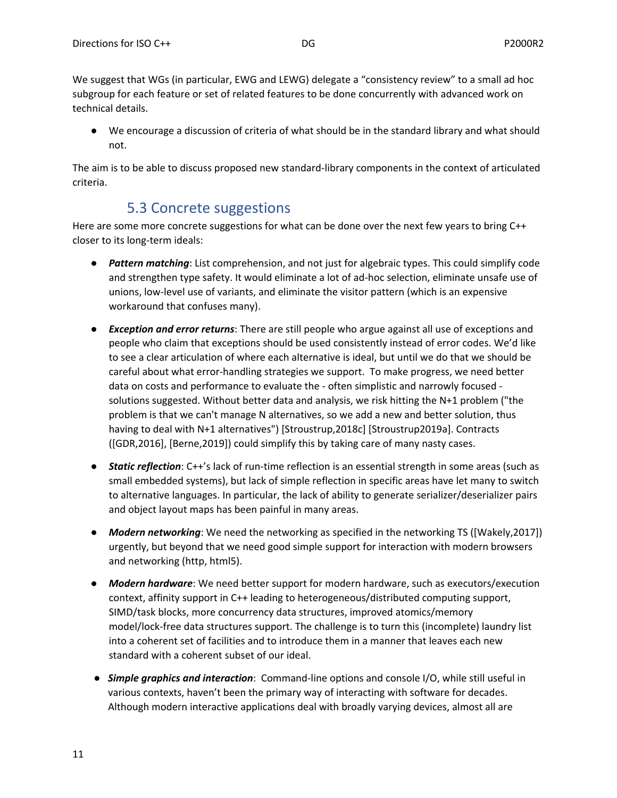We suggest that WGs (in particular, EWG and LEWG) delegate a "consistency review" to a small ad hoc subgroup for each feature or set of related features to be done concurrently with advanced work on technical details.

● We encourage a discussion of criteria of what should be in the standard library and what should not.

The aim is to be able to discuss proposed new standard-library components in the context of articulated criteria.

### 5.3 Concrete suggestions

<span id="page-10-0"></span>Here are some more concrete suggestions for what can be done over the next few years to bring C++ closer to its long-term ideals:

- *● Pattern matching*: List comprehension, and not just for algebraic types. This could simplify code and strengthen type safety. It would eliminate a lot of ad-hoc selection, eliminate unsafe use of unions, low-level use of variants, and eliminate the visitor pattern (which is an expensive workaround that confuses many).
- *● Exception and error returns*: There are still people who argue against all use of exceptions and people who claim that exceptions should be used consistently instead of error codes. We'd like to see a clear articulation of where each alternative is ideal, but until we do that we should be careful about what error-handling strategies we support. To make progress, we need better data on costs and performance to evaluate the - often simplistic and narrowly focused solutions suggested. Without better data and analysis, we risk hitting the N+1 problem ("the problem is that we can't manage N alternatives, so we add a new and better solution, thus having to deal with N+1 alternatives") [Stroustrup,2018c] [Stroustrup2019a]. Contracts ([GDR,2016], [Berne,2019]) could simplify this by taking care of many nasty cases.
- *● Static reflection*: C++'s lack of run-time reflection is an essential strength in some areas (such as small embedded systems), but lack of simple reflection in specific areas have let many to switch to alternative languages. In particular, the lack of ability to generate serializer/deserializer pairs and object layout maps has been painful in many areas.
- *● Modern networking*: We need the networking as specified in the networking TS ([Wakely,2017]) urgently, but beyond that we need good simple support for interaction with modern browsers and networking (http, html5).
- *● Modern hardware*: We need better support for modern hardware, such as executors/execution context, affinity support in C++ leading to heterogeneous/distributed computing support, SIMD/task blocks, more concurrency data structures, improved atomics/memory model/lock-free data structures support. The challenge is to turn this (incomplete) laundry list into a coherent set of facilities and to introduce them in a manner that leaves each new standard with a coherent subset of our ideal.
- *● Simple graphics and interaction*: Command-line options and console I/O, while still useful in various contexts, haven't been the primary way of interacting with software for decades. Although modern interactive applications deal with broadly varying devices, almost all are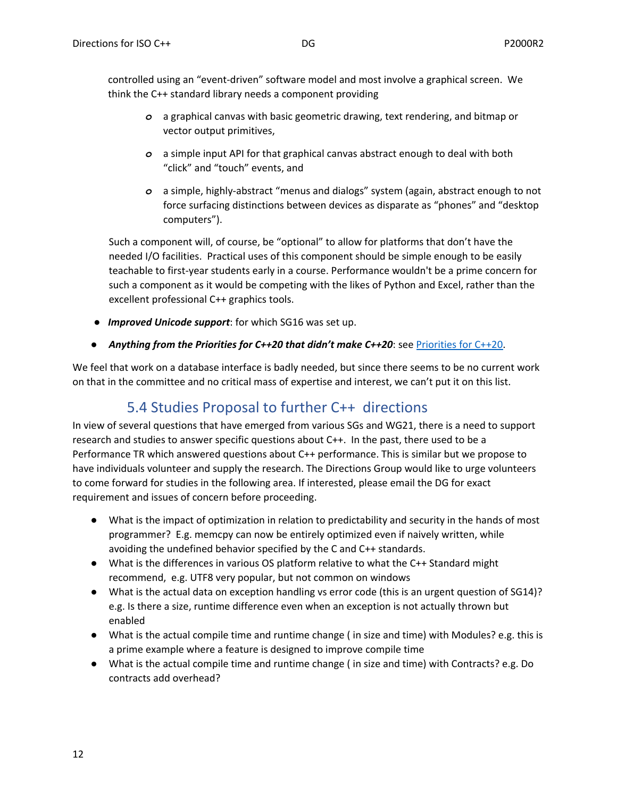controlled using an "event-driven" software model and most involve a graphical screen. We think the C++ standard library needs a component providing

- *o* a graphical canvas with basic geometric drawing, text rendering, and bitmap or vector output primitives,
- *o* a simple input API for that graphical canvas abstract enough to deal with both "click" and "touch" events, and
- *o* a simple, highly-abstract "menus and dialogs" system (again, abstract enough to not force surfacing distinctions between devices as disparate as "phones" and "desktop computers").

Such a component will, of course, be "optional" to allow for platforms that don't have the needed I/O facilities. Practical uses of this component should be simple enough to be easily teachable to first-year students early in a course. Performance wouldn't be a prime concern for such a component as it would be competing with the likes of Python and Excel, rather than the excellent professional C++ graphics tools.

- *● Improved Unicode support*: for which SG16 was set up.
- *Anything from the Priorities for C++20 that didn't make C++20*: see [Priorities](#page-12-0) for C++20.

We feel that work on a database interface is badly needed, but since there seems to be no current work on that in the committee and no critical mass of expertise and interest, we can't put it on this list.

# 5.4 Studies Proposal to further C++ directions

<span id="page-11-0"></span>In view of several questions that have emerged from various SGs and WG21, there is a need to support research and studies to answer specific questions about C++. In the past, there used to be a Performance TR which answered questions about C++ performance. This is similar but we propose to have individuals volunteer and supply the research. The Directions Group would like to urge volunteers to come forward for studies in the following area. If interested, please email the DG for exact requirement and issues of concern before proceeding.

- What is the impact of optimization in relation to predictability and security in the hands of most programmer? E.g. memcpy can now be entirely optimized even if naively written, while avoiding the undefined behavior specified by the C and C++ standards.
- What is the differences in various OS platform relative to what the C++ Standard might recommend, e.g. UTF8 very popular, but not common on windows
- What is the actual data on exception handling vs error code (this is an urgent question of SG14)? e.g. Is there a size, runtime difference even when an exception is not actually thrown but enabled
- What is the actual compile time and runtime change ( in size and time) with Modules? e.g. this is a prime example where a feature is designed to improve compile time
- What is the actual compile time and runtime change ( in size and time) with Contracts? e.g. Do contracts add overhead?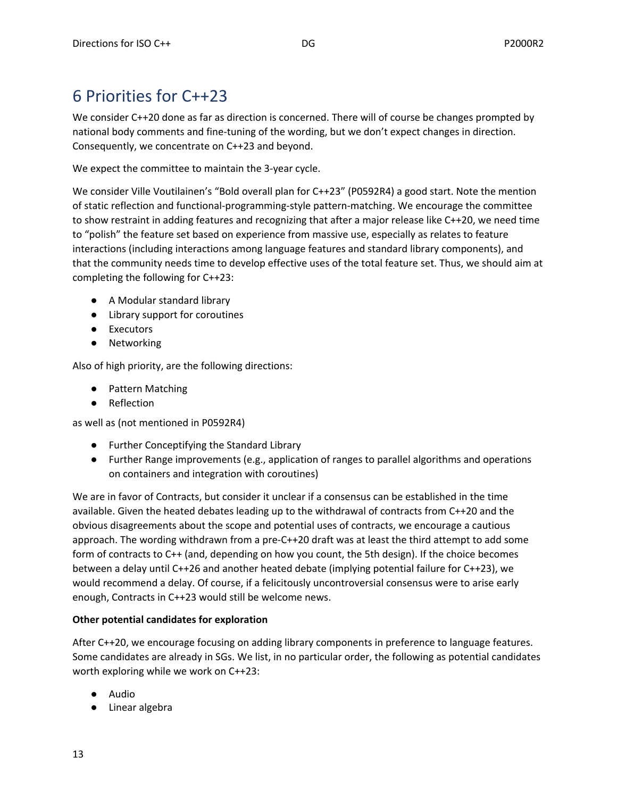# <span id="page-12-0"></span>6 Priorities for C++23

We consider C++20 done as far as direction is concerned. There will of course be changes prompted by national body comments and fine-tuning of the wording, but we don't expect changes in direction. Consequently, we concentrate on C++23 and beyond.

We expect the committee to maintain the 3-year cycle.

We consider Ville Voutilainen's "Bold overall plan for C++23" (P0592R4) a good start. Note the mention of static reflection and functional-programming-style pattern-matching. We encourage the committee to show restraint in adding features and recognizing that after a major release like C++20, we need time to "polish" the feature set based on experience from massive use, especially as relates to feature interactions (including interactions among language features and standard library components), and that the community needs time to develop effective uses of the total feature set. Thus, we should aim at completing the following for C++23:

- A Modular standard library
- Library support for coroutines
- Executors
- Networking

Also of high priority, are the following directions:

- Pattern Matching
- Reflection

as well as (not mentioned in P0592R4)

- Further Conceptifying the Standard Library
- Further Range improvements (e.g., application of ranges to parallel algorithms and operations on containers and integration with coroutines)

We are in favor of Contracts, but consider it unclear if a consensus can be established in the time available. Given the heated debates leading up to the withdrawal of contracts from C++20 and the obvious disagreements about the scope and potential uses of contracts, we encourage a cautious approach. The wording withdrawn from a pre-C++20 draft was at least the third attempt to add some form of contracts to C++ (and, depending on how you count, the 5th design). If the choice becomes between a delay until C++26 and another heated debate (implying potential failure for C++23), we would recommend a delay. Of course, if a felicitously uncontroversial consensus were to arise early enough, Contracts in C++23 would still be welcome news.

#### **Other potential candidates for exploration**

After C++20, we encourage focusing on adding library components in preference to language features. Some candidates are already in SGs. We list, in no particular order, the following as potential candidates worth exploring while we work on C++23:

- Audio
- Linear algebra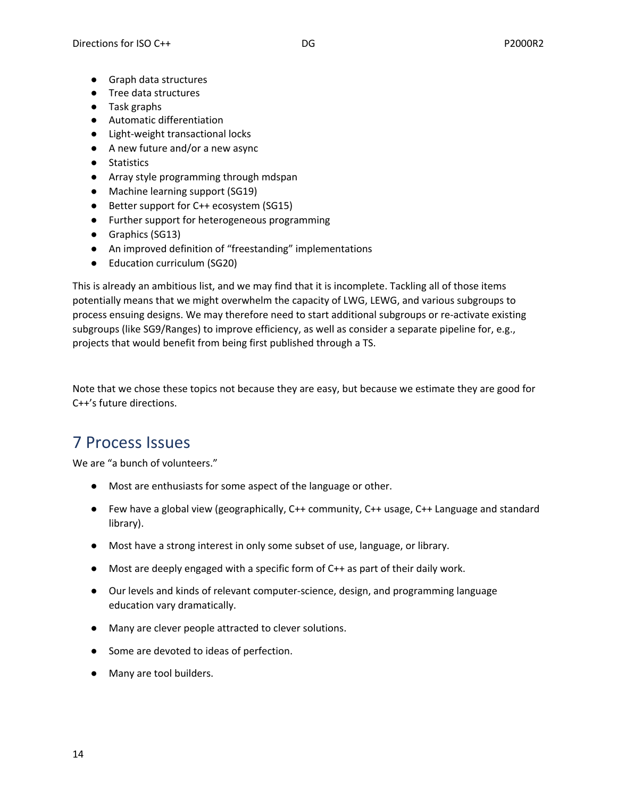- Graph data structures
- Tree data structures
- Task graphs
- Automatic differentiation
- Light-weight transactional locks
- A new future and/or a new async
- Statistics
- Array style programming through mdspan
- Machine learning support (SG19)
- Better support for C++ ecosystem (SG15)
- Further support for heterogeneous programming
- Graphics (SG13)
- An improved definition of "freestanding" implementations
- Education curriculum (SG20)

This is already an ambitious list, and we may find that it is incomplete. Tackling all of those items potentially means that we might overwhelm the capacity of LWG, LEWG, and various subgroups to process ensuing designs. We may therefore need to start additional subgroups or re-activate existing subgroups (like SG9/Ranges) to improve efficiency, as well as consider a separate pipeline for, e.g., projects that would benefit from being first published through a TS.

Note that we chose these topics not because they are easy, but because we estimate they are good for C++'s future directions.

# <span id="page-13-0"></span>7 Process Issues

We are "a bunch of volunteers."

- Most are enthusiasts for some aspect of the language or other.
- Few have a global view (geographically, C++ community, C++ usage, C++ Language and standard library).
- Most have a strong interest in only some subset of use, language, or library.
- Most are deeply engaged with a specific form of C++ as part of their daily work.
- Our levels and kinds of relevant computer-science, design, and programming language education vary dramatically.
- Many are clever people attracted to clever solutions.
- Some are devoted to ideas of perfection.
- Many are tool builders.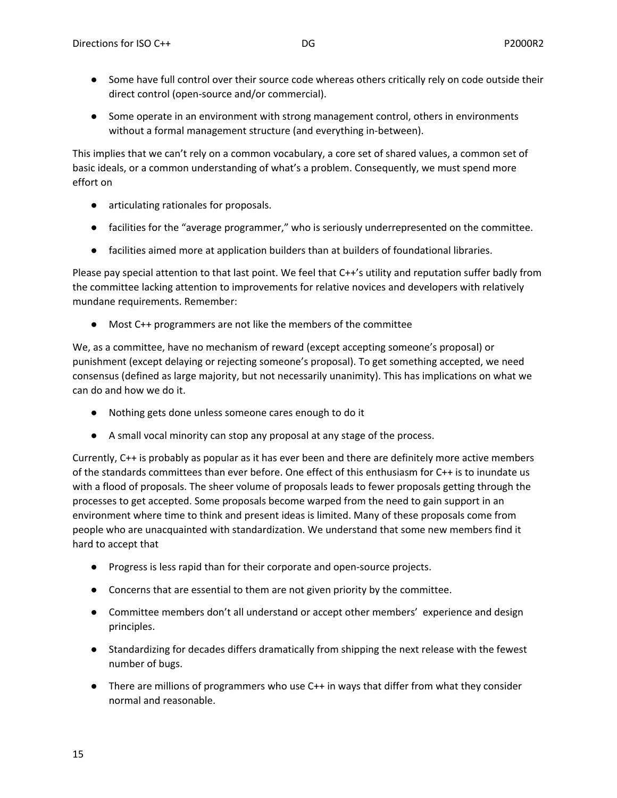- Some have full control over their source code whereas others critically rely on code outside their direct control (open-source and/or commercial).
- Some operate in an environment with strong management control, others in environments without a formal management structure (and everything in-between).

This implies that we can't rely on a common vocabulary, a core set of shared values, a common set of basic ideals, or a common understanding of what's a problem. Consequently, we must spend more effort on

- articulating rationales for proposals.
- facilities for the "average programmer," who is seriously underrepresented on the committee.
- facilities aimed more at application builders than at builders of foundational libraries.

Please pay special attention to that last point. We feel that C++'s utility and reputation suffer badly from the committee lacking attention to improvements for relative novices and developers with relatively mundane requirements. Remember:

● Most C++ programmers are not like the members of the committee

We, as a committee, have no mechanism of reward (except accepting someone's proposal) or punishment (except delaying or rejecting someone's proposal). To get something accepted, we need consensus (defined as large majority, but not necessarily unanimity). This has implications on what we can do and how we do it.

- Nothing gets done unless someone cares enough to do it
- A small vocal minority can stop any proposal at any stage of the process.

Currently, C++ is probably as popular as it has ever been and there are definitely more active members of the standards committees than ever before. One effect of this enthusiasm for C++ is to inundate us with a flood of proposals. The sheer volume of proposals leads to fewer proposals getting through the processes to get accepted. Some proposals become warped from the need to gain support in an environment where time to think and present ideas is limited. Many of these proposals come from people who are unacquainted with standardization. We understand that some new members find it hard to accept that

- Progress is less rapid than for their corporate and open-source projects.
- Concerns that are essential to them are not given priority by the committee.
- Committee members don't all understand or accept other members' experience and design principles.
- Standardizing for decades differs dramatically from shipping the next release with the fewest number of bugs.
- There are millions of programmers who use C++ in ways that differ from what they consider normal and reasonable.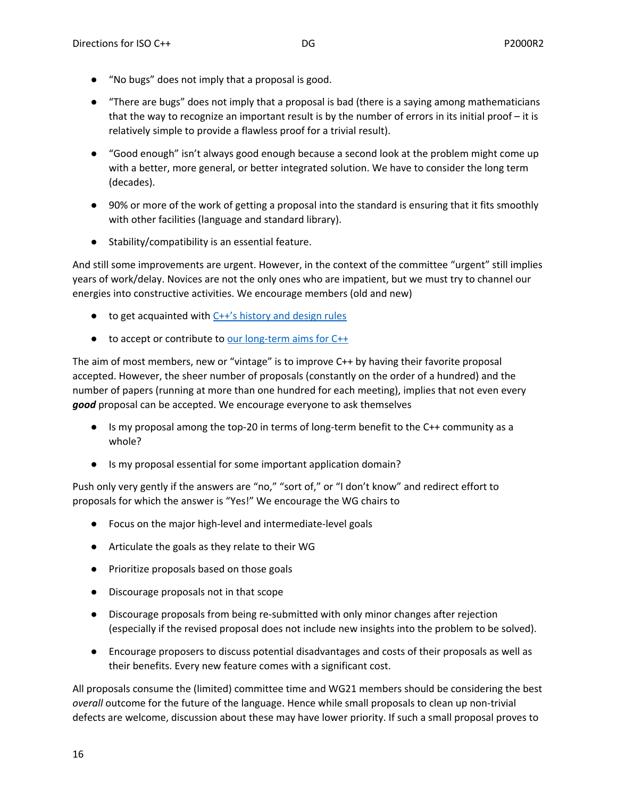- "No bugs" does not imply that a proposal is good.
- "There are bugs" does not imply that a proposal is bad (there is a saying among mathematicians that the way to recognize an important result is by the number of errors in its initial proof – it is relatively simple to provide a flawless proof for a trivial result).
- "Good enough" isn't always good enough because a second look at the problem might come up with a better, more general, or better integrated solution. We have to consider the long term (decades).
- 90% or more of the work of getting a proposal into the standard is ensuring that it fits smoothly with other facilities (language and standard library).
- Stability/compatibility is an essential feature.

And still some improvements are urgent. However, in the context of the committee "urgent" still implies years of work/delay. Novices are not the only ones who are impatient, but we must try to channel our energies into constructive activities. We encourage members (old and new)

- to get acquainted with C++'s history and design rules
- to accept or contribute to <u>our long-term aims for C++</u>

The aim of most members, new or "vintage" is to improve C++ by having their favorite proposal accepted. However, the sheer number of proposals (constantly on the order of a hundred) and the number of papers (running at more than one hundred for each meeting), implies that not even every *good* proposal can be accepted. We encourage everyone to ask themselves

- Is my proposal among the top-20 in terms of long-term benefit to the C++ community as a whole?
- Is my proposal essential for some important application domain?

Push only very gently if the answers are "no," "sort of," or "I don't know" and redirect effort to proposals for which the answer is "Yes!" We encourage the WG chairs to

- Focus on the major high-level and intermediate-level goals
- Articulate the goals as they relate to their WG
- Prioritize proposals based on those goals
- Discourage proposals not in that scope
- Discourage proposals from being re-submitted with only minor changes after rejection (especially if the revised proposal does not include new insights into the problem to be solved).
- Encourage proposers to discuss potential disadvantages and costs of their proposals as well as their benefits. Every new feature comes with a significant cost.

All proposals consume the (limited) committee time and WG21 members should be considering the best *overall* outcome for the future of the language. Hence while small proposals to clean up non-trivial defects are welcome, discussion about these may have lower priority. If such a small proposal proves to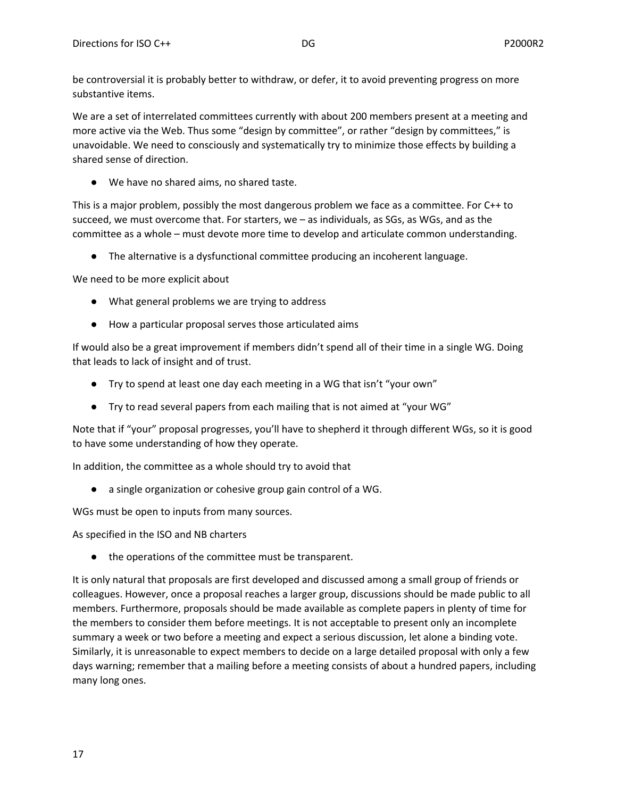be controversial it is probably better to withdraw, or defer, it to avoid preventing progress on more substantive items.

We are a set of interrelated committees currently with about 200 members present at a meeting and more active via the Web. Thus some "design by committee", or rather "design by committees," is unavoidable. We need to consciously and systematically try to minimize those effects by building a shared sense of direction.

● We have no shared aims, no shared taste.

This is a major problem, possibly the most dangerous problem we face as a committee. For C++ to succeed, we must overcome that. For starters, we – as individuals, as SGs, as WGs, and as the committee as a whole – must devote more time to develop and articulate common understanding.

● The alternative is a dysfunctional committee producing an incoherent language.

We need to be more explicit about

- What general problems we are trying to address
- How a particular proposal serves those articulated aims

If would also be a great improvement if members didn't spend all of their time in a single WG. Doing that leads to lack of insight and of trust.

- Try to spend at least one day each meeting in a WG that isn't "your own"
- Try to read several papers from each mailing that is not aimed at "your WG"

Note that if "your" proposal progresses, you'll have to shepherd it through different WGs, so it is good to have some understanding of how they operate.

In addition, the committee as a whole should try to avoid that

● a single organization or cohesive group gain control of a WG.

WGs must be open to inputs from many sources.

As specified in the ISO and NB charters

● the operations of the committee must be transparent.

It is only natural that proposals are first developed and discussed among a small group of friends or colleagues. However, once a proposal reaches a larger group, discussions should be made public to all members. Furthermore, proposals should be made available as complete papers in plenty of time for the members to consider them before meetings. It is not acceptable to present only an incomplete summary a week or two before a meeting and expect a serious discussion, let alone a binding vote. Similarly, it is unreasonable to expect members to decide on a large detailed proposal with only a few days warning; remember that a mailing before a meeting consists of about a hundred papers, including many long ones.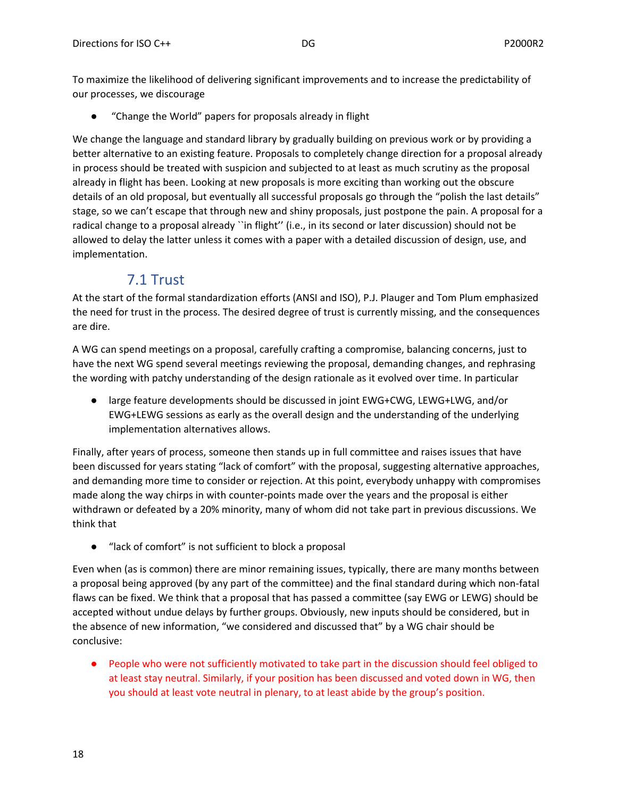To maximize the likelihood of delivering significant improvements and to increase the predictability of our processes, we discourage

"Change the World" papers for proposals already in flight

We change the language and standard library by gradually building on previous work or by providing a better alternative to an existing feature. Proposals to completely change direction for a proposal already in process should be treated with suspicion and subjected to at least as much scrutiny as the proposal already in flight has been. Looking at new proposals is more exciting than working out the obscure details of an old proposal, but eventually all successful proposals go through the "polish the last details" stage, so we can't escape that through new and shiny proposals, just postpone the pain. A proposal for a radical change to a proposal already ``in flight'' (i.e., in its second or later discussion) should not be allowed to delay the latter unless it comes with a paper with a detailed discussion of design, use, and implementation.

## 7.1 Trust

<span id="page-17-0"></span>At the start of the formal standardization efforts (ANSI and ISO), P.J. Plauger and Tom Plum emphasized the need for trust in the process. The desired degree of trust is currently missing, and the consequences are dire.

A WG can spend meetings on a proposal, carefully crafting a compromise, balancing concerns, just to have the next WG spend several meetings reviewing the proposal, demanding changes, and rephrasing the wording with patchy understanding of the design rationale as it evolved over time. In particular

● large feature developments should be discussed in joint EWG+CWG, LEWG+LWG, and/or EWG+LEWG sessions as early as the overall design and the understanding of the underlying implementation alternatives allows.

Finally, after years of process, someone then stands up in full committee and raises issues that have been discussed for years stating "lack of comfort" with the proposal, suggesting alternative approaches, and demanding more time to consider or rejection. At this point, everybody unhappy with compromises made along the way chirps in with counter-points made over the years and the proposal is either withdrawn or defeated by a 20% minority, many of whom did not take part in previous discussions. We think that

● "lack of comfort" is not sufficient to block a proposal

Even when (as is common) there are minor remaining issues, typically, there are many months between a proposal being approved (by any part of the committee) and the final standard during which non-fatal flaws can be fixed. We think that a proposal that has passed a committee (say EWG or LEWG) should be accepted without undue delays by further groups. Obviously, new inputs should be considered, but in the absence of new information, "we considered and discussed that" by a WG chair should be conclusive:

● People who were not sufficiently motivated to take part in the discussion should feel obliged to at least stay neutral. Similarly, if your position has been discussed and voted down in WG, then you should at least vote neutral in plenary, to at least abide by the group's position.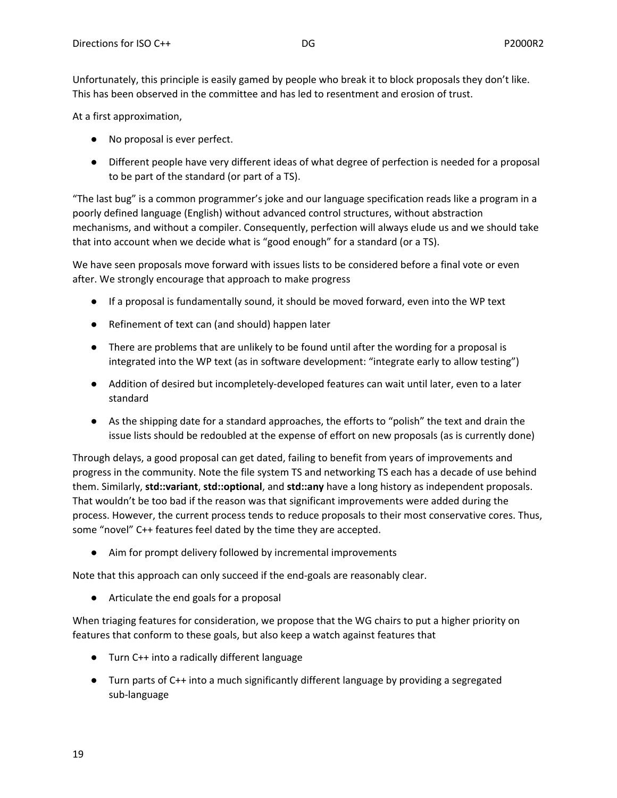Unfortunately, this principle is easily gamed by people who break it to block proposals they don't like. This has been observed in the committee and has led to resentment and erosion of trust.

At a first approximation,

- No proposal is ever perfect.
- Different people have very different ideas of what degree of perfection is needed for a proposal to be part of the standard (or part of a TS).

"The last bug" is a common programmer's joke and our language specification reads like a program in a poorly defined language (English) without advanced control structures, without abstraction mechanisms, and without a compiler. Consequently, perfection will always elude us and we should take that into account when we decide what is "good enough" for a standard (or a TS).

We have seen proposals move forward with issues lists to be considered before a final vote or even after. We strongly encourage that approach to make progress

- If a proposal is fundamentally sound, it should be moved forward, even into the WP text
- Refinement of text can (and should) happen later
- There are problems that are unlikely to be found until after the wording for a proposal is integrated into the WP text (as in software development: "integrate early to allow testing")
- Addition of desired but incompletely-developed features can wait until later, even to a later standard
- As the shipping date for a standard approaches, the efforts to "polish" the text and drain the issue lists should be redoubled at the expense of effort on new proposals (as is currently done)

Through delays, a good proposal can get dated, failing to benefit from years of improvements and progress in the community. Note the file system TS and networking TS each has a decade of use behind them. Similarly, **std::variant**, **std::optional**, and **std::any** have a long history as independent proposals. That wouldn't be too bad if the reason was that significant improvements were added during the process. However, the current process tends to reduce proposals to their most conservative cores. Thus, some "novel" C++ features feel dated by the time they are accepted.

● Aim for prompt delivery followed by incremental improvements

Note that this approach can only succeed if the end-goals are reasonably clear.

● Articulate the end goals for a proposal

When triaging features for consideration, we propose that the WG chairs to put a higher priority on features that conform to these goals, but also keep a watch against features that

- Turn C++ into a radically different language
- Turn parts of C++ into a much significantly different language by providing a segregated sub-language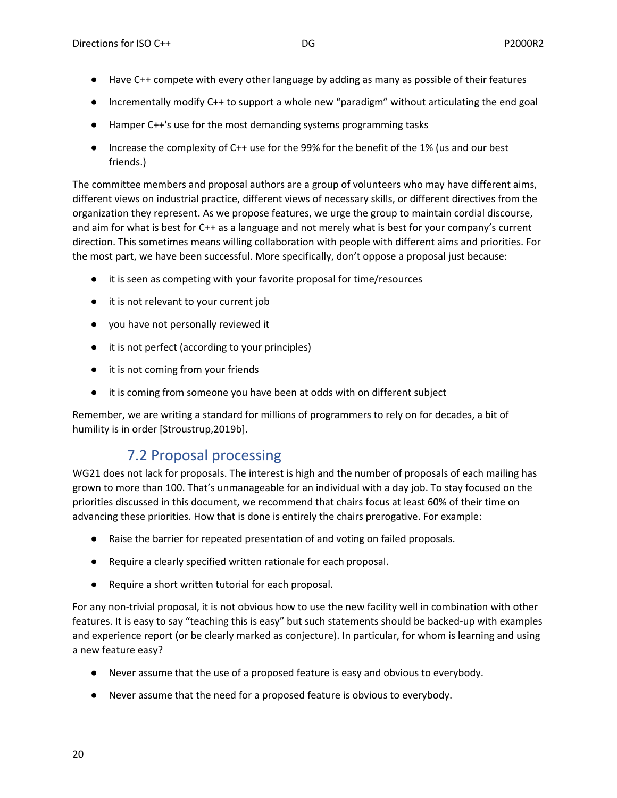- Have C++ compete with every other language by adding as many as possible of their features
- Incrementally modify C++ to support a whole new "paradigm" without articulating the end goal
- Hamper C++'s use for the most demanding systems programming tasks
- Increase the complexity of C++ use for the 99% for the benefit of the 1% (us and our best friends.)

The committee members and proposal authors are a group of volunteers who may have different aims, different views on industrial practice, different views of necessary skills, or different directives from the organization they represent. As we propose features, we urge the group to maintain cordial discourse, and aim for what is best for C++ as a language and not merely what is best for your company's current direction. This sometimes means willing collaboration with people with different aims and priorities. For the most part, we have been successful. More specifically, don't oppose a proposal just because:

- it is seen as competing with your favorite proposal for time/resources
- it is not relevant to your current job
- you have not personally reviewed it
- it is not perfect (according to your principles)
- it is not coming from your friends
- it is coming from someone you have been at odds with on different subject

Remember, we are writing a standard for millions of programmers to rely on for decades, a bit of humility is in order [Stroustrup,2019b].

### 7.2 Proposal processing

<span id="page-19-0"></span>WG21 does not lack for proposals. The interest is high and the number of proposals of each mailing has grown to more than 100. That's unmanageable for an individual with a day job. To stay focused on the priorities discussed in this document, we recommend that chairs focus at least 60% of their time on advancing these priorities. How that is done is entirely the chairs prerogative. For example:

- Raise the barrier for repeated presentation of and voting on failed proposals.
- Require a clearly specified written rationale for each proposal.
- Require a short written tutorial for each proposal.

For any non-trivial proposal, it is not obvious how to use the new facility well in combination with other features. It is easy to say "teaching this is easy" but such statements should be backed-up with examples and experience report (or be clearly marked as conjecture). In particular, for whom is learning and using a new feature easy?

- Never assume that the use of a proposed feature is easy and obvious to everybody.
- Never assume that the need for a proposed feature is obvious to everybody.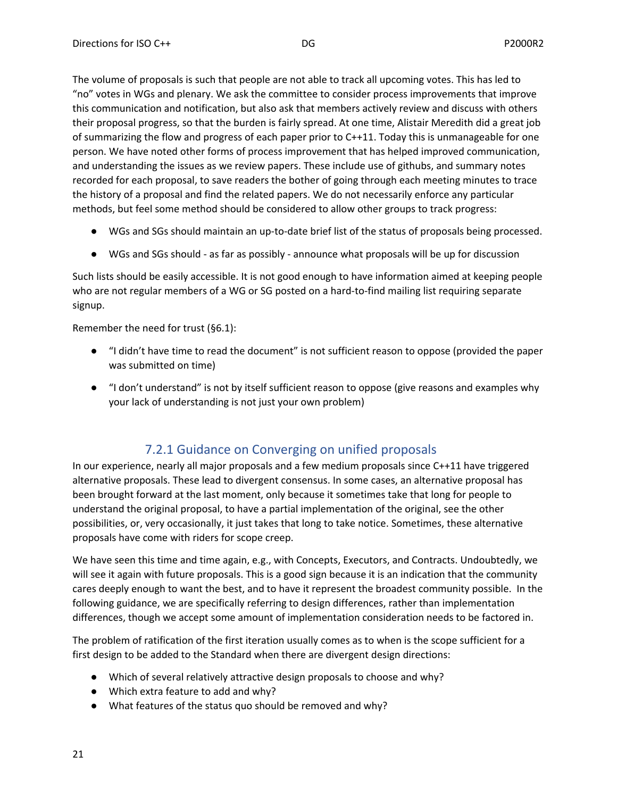The volume of proposals is such that people are not able to track all upcoming votes. This has led to "no" votes in WGs and plenary. We ask the committee to consider process improvements that improve this communication and notification, but also ask that members actively review and discuss with others their proposal progress, so that the burden is fairly spread. At one time, Alistair Meredith did a great job of summarizing the flow and progress of each paper prior to C++11. Today this is unmanageable for one person. We have noted other forms of process improvement that has helped improved communication, and understanding the issues as we review papers. These include use of githubs, and summary notes recorded for each proposal, to save readers the bother of going through each meeting minutes to trace the history of a proposal and find the related papers. We do not necessarily enforce any particular methods, but feel some method should be considered to allow other groups to track progress:

- WGs and SGs should maintain an up-to-date brief list of the status of proposals being processed.
- WGs and SGs should as far as possibly announce what proposals will be up for discussion

Such lists should be easily accessible. It is not good enough to have information aimed at keeping people who are not regular members of a WG or SG posted on a hard-to-find mailing list requiring separate signup.

Remember the need for trust (§6.1):

- "I didn't have time to read the document" is not sufficient reason to oppose (provided the paper was submitted on time)
- "I don't understand" is not by itself sufficient reason to oppose (give reasons and examples why your lack of understanding is not just your own problem)

### 7.2.1 Guidance on Converging on unified proposals

<span id="page-20-0"></span>In our experience, nearly all major proposals and a few medium proposals since C++11 have triggered alternative proposals. These lead to divergent consensus. In some cases, an alternative proposal has been brought forward at the last moment, only because it sometimes take that long for people to understand the original proposal, to have a partial implementation of the original, see the other possibilities, or, very occasionally, it just takes that long to take notice. Sometimes, these alternative proposals have come with riders for scope creep.

We have seen this time and time again, e.g., with Concepts, Executors, and Contracts. Undoubtedly, we will see it again with future proposals. This is a good sign because it is an indication that the community cares deeply enough to want the best, and to have it represent the broadest community possible. In the following guidance, we are specifically referring to design differences, rather than implementation differences, though we accept some amount of implementation consideration needs to be factored in.

The problem of ratification of the first iteration usually comes as to when is the scope sufficient for a first design to be added to the Standard when there are divergent design directions:

- Which of several relatively attractive design proposals to choose and why?
- Which extra feature to add and why?
- What features of the status quo should be removed and why?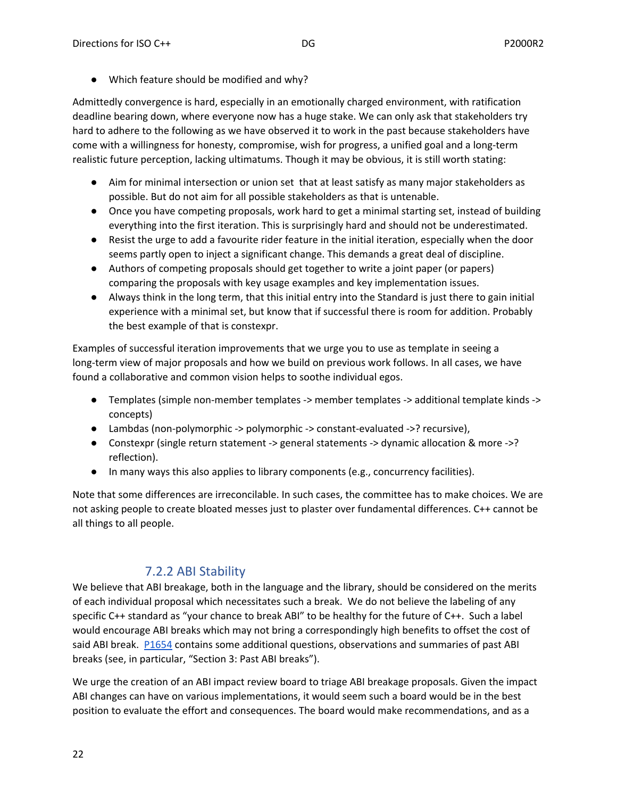● Which feature should be modified and why?

Admittedly convergence is hard, especially in an emotionally charged environment, with ratification deadline bearing down, where everyone now has a huge stake. We can only ask that stakeholders try hard to adhere to the following as we have observed it to work in the past because stakeholders have come with a willingness for honesty, compromise, wish for progress, a unified goal and a long-term realistic future perception, lacking ultimatums. Though it may be obvious, it is still worth stating:

- Aim for minimal intersection or union set that at least satisfy as many major stakeholders as possible. But do not aim for all possible stakeholders as that is untenable.
- Once you have competing proposals, work hard to get a minimal starting set, instead of building everything into the first iteration. This is surprisingly hard and should not be underestimated.
- Resist the urge to add a favourite rider feature in the initial iteration, especially when the door seems partly open to inject a significant change. This demands a great deal of discipline.
- Authors of competing proposals should get together to write a joint paper (or papers) comparing the proposals with key usage examples and key implementation issues.
- Always think in the long term, that this initial entry into the Standard is just there to gain initial experience with a minimal set, but know that if successful there is room for addition. Probably the best example of that is constexpr.

Examples of successful iteration improvements that we urge you to use as template in seeing a long-term view of major proposals and how we build on previous work follows. In all cases, we have found a collaborative and common vision helps to soothe individual egos.

- Templates (simple non-member templates -> member templates -> additional template kinds -> concepts)
- Lambdas (non-polymorphic -> polymorphic -> constant-evaluated ->? recursive),
- Constexpr (single return statement -> general statements -> dynamic allocation & more ->? reflection).
- In many ways this also applies to library components (e.g., concurrency facilities).

Note that some differences are irreconcilable. In such cases, the committee has to make choices. We are not asking people to create bloated messes just to plaster over fundamental differences. C++ cannot be all things to all people.

#### 7.2.2 ABI Stability

<span id="page-21-0"></span>We believe that ABI breakage, both in the language and the library, should be considered on the merits of each individual proposal which necessitates such a break. We do not believe the labeling of any specific C++ standard as "your chance to break ABI" to be healthy for the future of C++. Such a label would encourage ABI breaks which may not bring a correspondingly high benefits to offset the cost of said ABI break. [P1654](http://www.open-std.org/jtc1/sc22/wg21/docs/papers/2019/p1654r0.html) contains some additional questions, observations and summaries of past ABI breaks (see, in particular, "Section 3: Past ABI breaks").

We urge the creation of an ABI impact review board to triage ABI breakage proposals. Given the impact ABI changes can have on various implementations, it would seem such a board would be in the best position to evaluate the effort and consequences. The board would make recommendations, and as a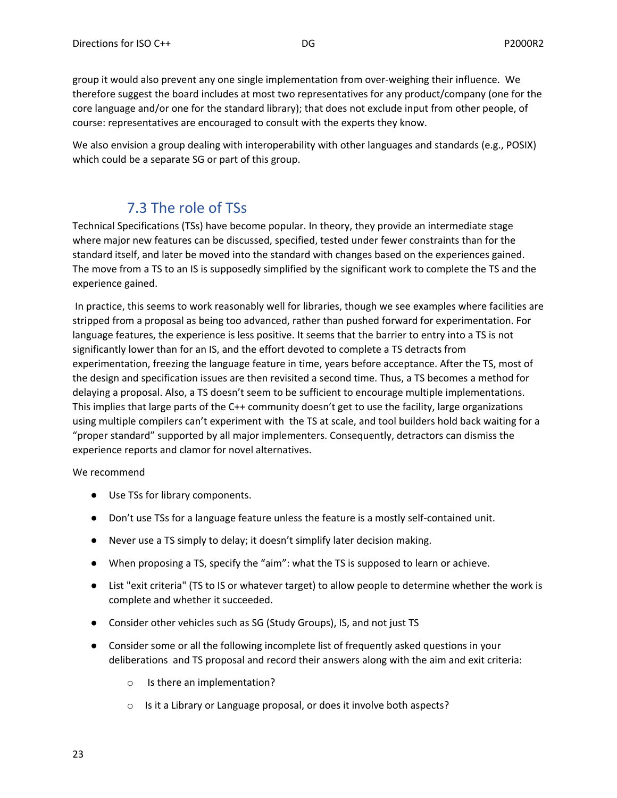group it would also prevent any one single implementation from over-weighing their influence. We therefore suggest the board includes at most two representatives for any product/company (one for the core language and/or one for the standard library); that does not exclude input from other people, of course: representatives are encouraged to consult with the experts they know.

We also envision a group dealing with interoperability with other languages and standards (e.g., POSIX) which could be a separate SG or part of this group.

# 7.3 The role of TSs

<span id="page-22-0"></span>Technical Specifications (TSs) have become popular. In theory, they provide an intermediate stage where major new features can be discussed, specified, tested under fewer constraints than for the standard itself, and later be moved into the standard with changes based on the experiences gained. The move from a TS to an IS is supposedly simplified by the significant work to complete the TS and the experience gained.

In practice, this seems to work reasonably well for libraries, though we see examples where facilities are stripped from a proposal as being too advanced, rather than pushed forward for experimentation. For language features, the experience is less positive. It seems that the barrier to entry into a TS is not significantly lower than for an IS, and the effort devoted to complete a TS detracts from experimentation, freezing the language feature in time, years before acceptance. After the TS, most of the design and specification issues are then revisited a second time. Thus, a TS becomes a method for delaying a proposal. Also, a TS doesn't seem to be sufficient to encourage multiple implementations. This implies that large parts of the C++ community doesn't get to use the facility, large organizations using multiple compilers can't experiment with the TS at scale, and tool builders hold back waiting for a "proper standard" supported by all major implementers. Consequently, detractors can dismiss the experience reports and clamor for novel alternatives.

We recommend

- Use TSs for library components.
- Don't use TSs for a language feature unless the feature is a mostly self-contained unit.
- Never use a TS simply to delay; it doesn't simplify later decision making.
- When proposing a TS, specify the "aim": what the TS is supposed to learn or achieve.
- List "exit criteria" (TS to IS or whatever target) to allow people to determine whether the work is complete and whether it succeeded.
- Consider other vehicles such as SG (Study Groups), IS, and not just TS
- Consider some or all the following incomplete list of frequently asked questions in your deliberations and TS proposal and record their answers along with the aim and exit criteria:
	- o Is there an implementation?
	- o Is it a Library or Language proposal, or does it involve both aspects?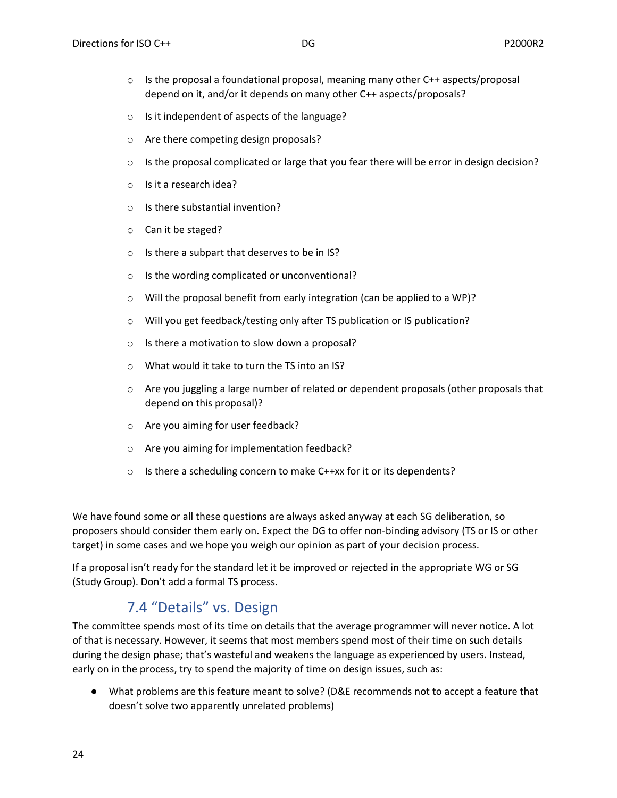- $\circ$  Is the proposal a foundational proposal, meaning many other C++ aspects/proposal depend on it, and/or it depends on many other C++ aspects/proposals?
- o Is it independent of aspects of the language?
- o Are there competing design proposals?
- $\circ$  Is the proposal complicated or large that you fear there will be error in design decision?
- o Is it a research idea?
- o Is there substantial invention?
- o Can it be staged?
- o Is there a subpart that deserves to be in IS?
- o Is the wording complicated or unconventional?
- o Will the proposal benefit from early integration (can be applied to a WP)?
- o Will you get feedback/testing only after TS publication or IS publication?
- o Is there a motivation to slow down a proposal?
- o What would it take to turn the TS into an IS?
- $\circ$  Are you juggling a large number of related or dependent proposals (other proposals that depend on this proposal)?
- o Are you aiming for user feedback?
- o Are you aiming for implementation feedback?
- o Is there a scheduling concern to make C++xx for it or its dependents?

We have found some or all these questions are always asked anyway at each SG deliberation, so proposers should consider them early on. Expect the DG to offer non-binding advisory (TS or IS or other target) in some cases and we hope you weigh our opinion as part of your decision process.

If a proposal isn't ready for the standard let it be improved or rejected in the appropriate WG or SG (Study Group). Don't add a formal TS process.

## 7.4 "Details" vs. Design

<span id="page-23-0"></span>The committee spends most of its time on details that the average programmer will never notice. A lot of that is necessary. However, it seems that most members spend most of their time on such details during the design phase; that's wasteful and weakens the language as experienced by users. Instead, early on in the process, try to spend the majority of time on design issues, such as:

● What problems are this feature meant to solve? (D&E recommends not to accept a feature that doesn't solve two apparently unrelated problems)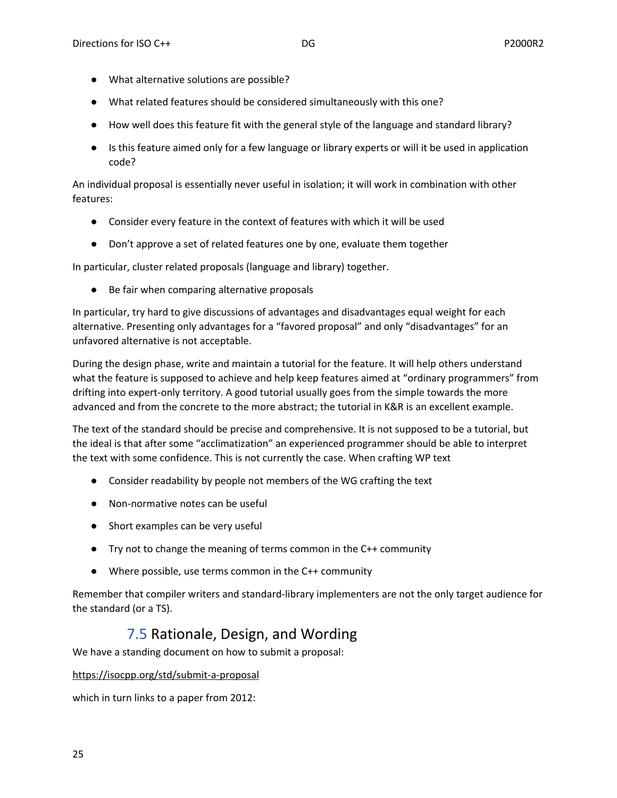- What alternative solutions are possible?
- What related features should be considered simultaneously with this one?
- How well does this feature fit with the general style of the language and standard library?
- Is this feature aimed only for a few language or library experts or will it be used in application code?

An individual proposal is essentially never useful in isolation; it will work in combination with other features:

- Consider every feature in the context of features with which it will be used
- Don't approve a set of related features one by one, evaluate them together

In particular, cluster related proposals (language and library) together.

● Be fair when comparing alternative proposals

In particular, try hard to give discussions of advantages and disadvantages equal weight for each alternative. Presenting only advantages for a "favored proposal" and only "disadvantages" for an unfavored alternative is not acceptable.

During the design phase, write and maintain a tutorial for the feature. It will help others understand what the feature is supposed to achieve and help keep features aimed at "ordinary programmers" from drifting into expert-only territory. A good tutorial usually goes from the simple towards the more advanced and from the concrete to the more abstract; the tutorial in K&R is an excellent example.

The text of the standard should be precise and comprehensive. It is not supposed to be a tutorial, but the ideal is that after some "acclimatization" an experienced programmer should be able to interpret the text with some confidence. This is not currently the case. When crafting WP text

- Consider readability by people not members of the WG crafting the text
- Non-normative notes can be useful
- Short examples can be very useful
- Try not to change the meaning of terms common in the C++ community
- Where possible, use terms common in the C++ community

Remember that compiler writers and standard-library implementers are not the only target audience for the standard (or a TS).

## 7.5 Rationale, Design, and Wording

<span id="page-24-0"></span>We have a standing document on how to submit a proposal:

#### <https://isocpp.org/std/submit-a-proposal>

which in turn links to a paper from 2012: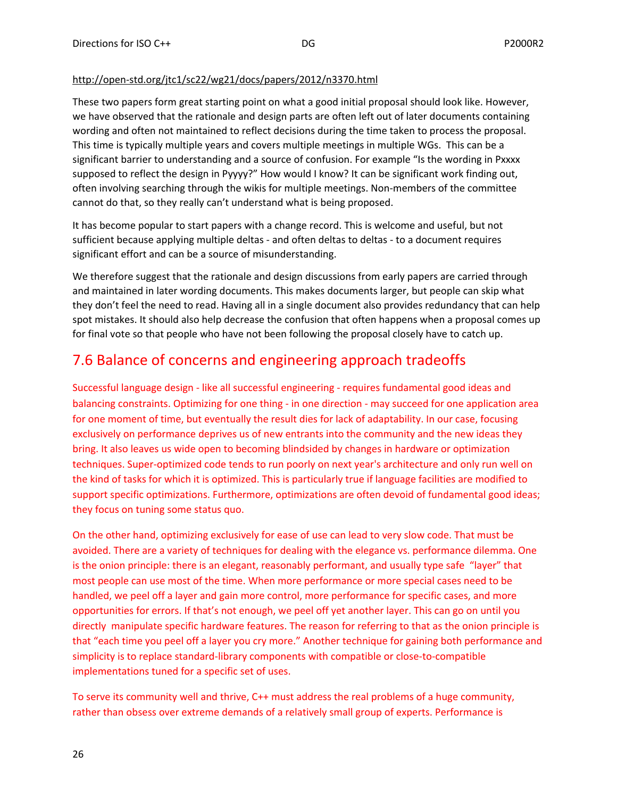#### <http://open-std.org/jtc1/sc22/wg21/docs/papers/2012/n3370.html>

These two papers form great starting point on what a good initial proposal should look like. However, we have observed that the rationale and design parts are often left out of later documents containing wording and often not maintained to reflect decisions during the time taken to process the proposal. This time is typically multiple years and covers multiple meetings in multiple WGs. This can be a significant barrier to understanding and a source of confusion. For example "Is the wording in Pxxxx supposed to reflect the design in Pyyyy?" How would I know? It can be significant work finding out, often involving searching through the wikis for multiple meetings. Non-members of the committee cannot do that, so they really can't understand what is being proposed.

It has become popular to start papers with a change record. This is welcome and useful, but not sufficient because applying multiple deltas - and often deltas to deltas - to a document requires significant effort and can be a source of misunderstanding.

We therefore suggest that the rationale and design discussions from early papers are carried through and maintained in later wording documents. This makes documents larger, but people can skip what they don't feel the need to read. Having all in a single document also provides redundancy that can help spot mistakes. It should also help decrease the confusion that often happens when a proposal comes up for final vote so that people who have not been following the proposal closely have to catch up.

### <span id="page-25-0"></span>7.6 Balance of concerns and engineering approach tradeoffs

Successful language design - like all successful engineering - requires fundamental good ideas and balancing constraints. Optimizing for one thing - in one direction - may succeed for one application area for one moment of time, but eventually the result dies for lack of adaptability. In our case, focusing exclusively on performance deprives us of new entrants into the community and the new ideas they bring. It also leaves us wide open to becoming blindsided by changes in hardware or optimization techniques. Super-optimized code tends to run poorly on next year's architecture and only run well on the kind of tasks for which it is optimized. This is particularly true if language facilities are modified to support specific optimizations. Furthermore, optimizations are often devoid of fundamental good ideas; they focus on tuning some status quo.

On the other hand, optimizing exclusively for ease of use can lead to very slow code. That must be avoided. There are a variety of techniques for dealing with the elegance vs. performance dilemma. One is the onion principle: there is an elegant, reasonably performant, and usually type safe "layer" that most people can use most of the time. When more performance or more special cases need to be handled, we peel off a layer and gain more control, more performance for specific cases, and more opportunities for errors. If that's not enough, we peel off yet another layer. This can go on until you directly manipulate specific hardware features. The reason for referring to that as the onion principle is that "each time you peel off a layer you cry more." Another technique for gaining both performance and simplicity is to replace standard-library components with compatible or close-to-compatible implementations tuned for a specific set of uses.

To serve its community well and thrive, C++ must address the real problems of a huge community, rather than obsess over extreme demands of a relatively small group of experts. Performance is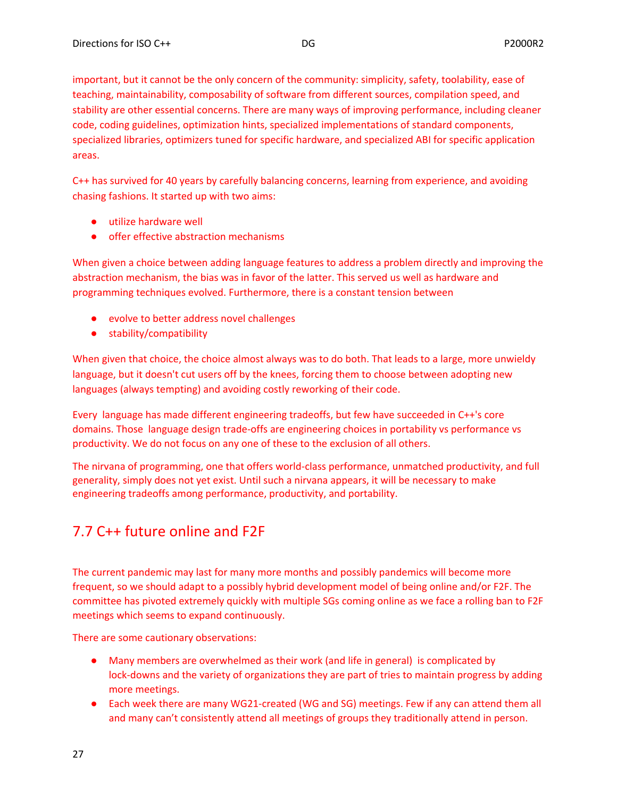important, but it cannot be the only concern of the community: simplicity, safety, toolability, ease of teaching, maintainability, composability of software from different sources, compilation speed, and stability are other essential concerns. There are many ways of improving performance, including cleaner code, coding guidelines, optimization hints, specialized implementations of standard components, specialized libraries, optimizers tuned for specific hardware, and specialized ABI for specific application areas.

C++ has survived for 40 years by carefully balancing concerns, learning from experience, and avoiding chasing fashions. It started up with two aims:

- utilize hardware well
- offer effective abstraction mechanisms

When given a choice between adding language features to address a problem directly and improving the abstraction mechanism, the bias was in favor of the latter. This served us well as hardware and programming techniques evolved. Furthermore, there is a constant tension between

- evolve to better address novel challenges
- stability/compatibility

When given that choice, the choice almost always was to do both. That leads to a large, more unwieldy language, but it doesn't cut users off by the knees, forcing them to choose between adopting new languages (always tempting) and avoiding costly reworking of their code.

Every language has made different engineering tradeoffs, but few have succeeded in C++'s core domains. Those language design trade-offs are engineering choices in portability vs performance vs productivity. We do not focus on any one of these to the exclusion of all others.

The nirvana of programming, one that offers world-class performance, unmatched productivity, and full generality, simply does not yet exist. Until such a nirvana appears, it will be necessary to make engineering tradeoffs among performance, productivity, and portability.

# <span id="page-26-0"></span>7.7 C++ future online and F2F

The current pandemic may last for many more months and possibly pandemics will become more frequent, so we should adapt to a possibly hybrid development model of being online and/or F2F. The committee has pivoted extremely quickly with multiple SGs coming online as we face a rolling ban to F2F meetings which seems to expand continuously.

There are some cautionary observations:

- Many members are overwhelmed as their work (and life in general) is complicated by lock-downs and the variety of organizations they are part of tries to maintain progress by adding more meetings.
- Each week there are many WG21-created (WG and SG) meetings. Few if any can attend them all and many can't consistently attend all meetings of groups they traditionally attend in person.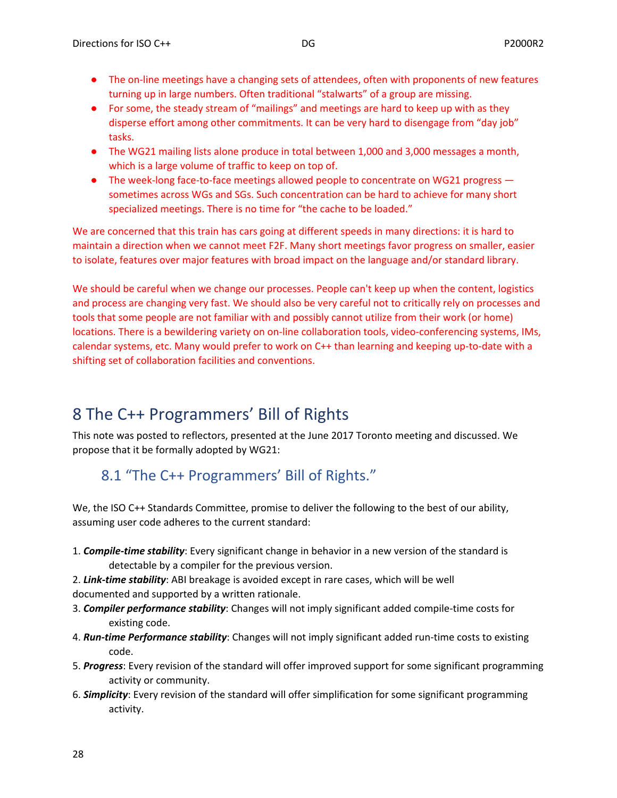- The on-line meetings have a changing sets of attendees, often with proponents of new features turning up in large numbers. Often traditional "stalwarts" of a group are missing.
- For some, the steady stream of "mailings" and meetings are hard to keep up with as they disperse effort among other commitments. It can be very hard to disengage from "day job" tasks.
- The WG21 mailing lists alone produce in total between 1,000 and 3,000 messages a month, which is a large volume of traffic to keep on top of.
- The week-long face-to-face meetings allowed people to concentrate on WG21 progress sometimes across WGs and SGs. Such concentration can be hard to achieve for many short specialized meetings. There is no time for "the cache to be loaded."

We are concerned that this train has cars going at different speeds in many directions: it is hard to maintain a direction when we cannot meet F2F. Many short meetings favor progress on smaller, easier to isolate, features over major features with broad impact on the language and/or standard library.

We should be careful when we change our processes. People can't keep up when the content, logistics and process are changing very fast. We should also be very careful not to critically rely on processes and tools that some people are not familiar with and possibly cannot utilize from their work (or home) locations. There is a bewildering variety on on-line collaboration tools, video-conferencing systems, IMs, calendar systems, etc. Many would prefer to work on C++ than learning and keeping up-to-date with a shifting set of collaboration facilities and conventions.

# <span id="page-27-0"></span>8 The C++ Programmers' Bill of Rights

This note was posted to reflectors, presented at the June 2017 Toronto meeting and discussed. We propose that it be formally adopted by WG21:

# <span id="page-27-1"></span>8.1 "The C++ Programmers' Bill of Rights."

We, the ISO C++ Standards Committee, promise to deliver the following to the best of our ability, assuming user code adheres to the current standard:

- 1. *Compile-time stability*: Every significant change in behavior in a new version of the standard is detectable by a compiler for the previous version.
- 2. *Link-time stability*: ABI breakage is avoided except in rare cases, which will be well documented and supported by a written rationale.
- 3. *Compiler performance stability*: Changes will not imply significant added compile-time costs for existing code.
- 4. *Run-time Performance stability*: Changes will not imply significant added run-time costs to existing code.
- 5. *Progress*: Every revision of the standard will offer improved support for some significant programming activity or community.
- 6. *Simplicity*: Every revision of the standard will offer simplification for some significant programming activity.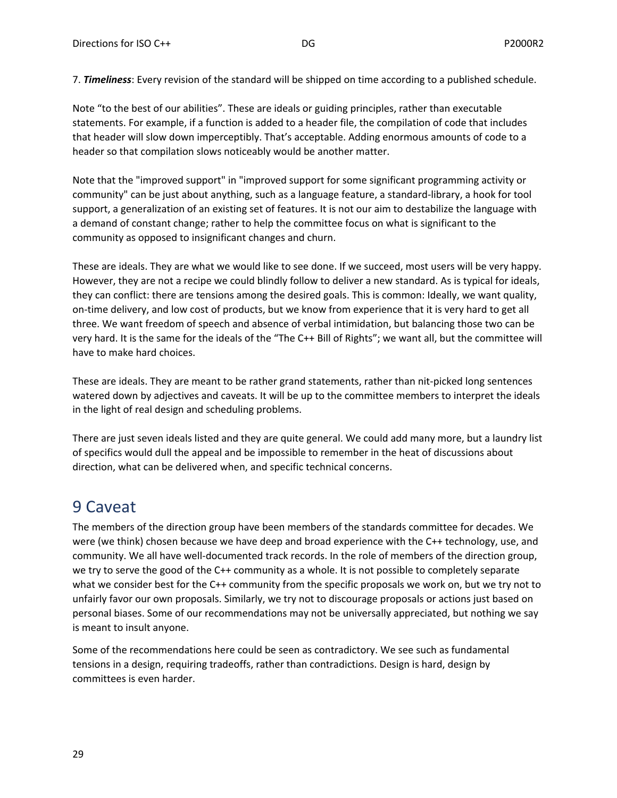7. *Timeliness*: Every revision of the standard will be shipped on time according to a published schedule.

Note "to the best of our abilities". These are ideals or guiding principles, rather than executable statements. For example, if a function is added to a header file, the compilation of code that includes that header will slow down imperceptibly. That's acceptable. Adding enormous amounts of code to a header so that compilation slows noticeably would be another matter.

Note that the "improved support" in "improved support for some significant programming activity or community" can be just about anything, such as a language feature, a standard-library, a hook for tool support, a generalization of an existing set of features. It is not our aim to destabilize the language with a demand of constant change; rather to help the committee focus on what is significant to the community as opposed to insignificant changes and churn.

These are ideals. They are what we would like to see done. If we succeed, most users will be very happy. However, they are not a recipe we could blindly follow to deliver a new standard. As is typical for ideals, they can conflict: there are tensions among the desired goals. This is common: Ideally, we want quality, on-time delivery, and low cost of products, but we know from experience that it is very hard to get all three. We want freedom of speech and absence of verbal intimidation, but balancing those two can be very hard. It is the same for the ideals of the "The C++ Bill of Rights"; we want all, but the committee will have to make hard choices.

These are ideals. They are meant to be rather grand statements, rather than nit-picked long sentences watered down by adjectives and caveats. It will be up to the committee members to interpret the ideals in the light of real design and scheduling problems.

There are just seven ideals listed and they are quite general. We could add many more, but a laundry list of specifics would dull the appeal and be impossible to remember in the heat of discussions about direction, what can be delivered when, and specific technical concerns.

# <span id="page-28-0"></span>9 Caveat

The members of the direction group have been members of the standards committee for decades. We were (we think) chosen because we have deep and broad experience with the C++ technology, use, and community. We all have well-documented track records. In the role of members of the direction group, we try to serve the good of the C++ community as a whole. It is not possible to completely separate what we consider best for the C++ community from the specific proposals we work on, but we try not to unfairly favor our own proposals. Similarly, we try not to discourage proposals or actions just based on personal biases. Some of our recommendations may not be universally appreciated, but nothing we say is meant to insult anyone.

Some of the recommendations here could be seen as contradictory. We see such as fundamental tensions in a design, requiring tradeoffs, rather than contradictions. Design is hard, design by committees is even harder.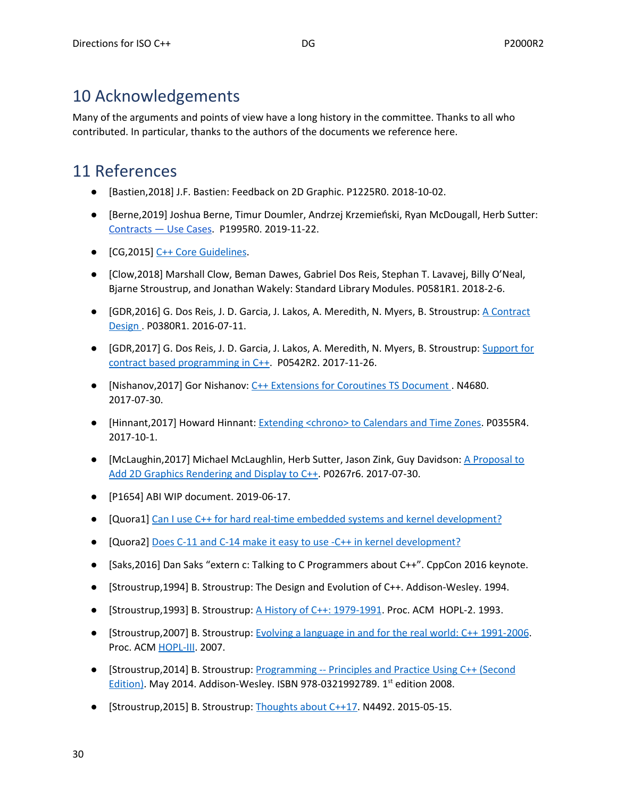# <span id="page-29-0"></span>10 Acknowledgements

Many of the arguments and points of view have a long history in the committee. Thanks to all who contributed. In particular, thanks to the authors of the documents we reference here.

# <span id="page-29-1"></span>11 References

- [Bastien,2018] J.F. Bastien: Feedback on 2D Graphic. P1225R0. 2018-10-02.
- [Berne,2019] Joshua Berne, Timur Doumler, Andrzej Krzemieński, Ryan McDougall, Herb Sutter: [Contracts](http://www.open-std.org/jtc1/sc22/wg21/docs/papers/2019/p1995r0.html) — Use Cases. P1995R0. 2019-11-22.
- [CG,2015] C++ Core [Guidelines](https://github.com/isocpp/CppCoreGuidelines).
- [Clow,2018] Marshall Clow, Beman Dawes, Gabriel Dos Reis, Stephan T. Lavavej, Billy O'Neal, Bjarne Stroustrup, and Jonathan Wakely: Standard Library Modules. P0581R1. 2018-2-6.
- [GDR,2016] G. Dos Reis, J. D. Garcia, J. Lakos, A. Meredith, N. Myers, B. Stroustrup: A [Contract](http://www.open-std.org/jtc1/sc22/wg21/docs/papers/2016/p0380r1.pdf) [Design](http://www.open-std.org/jtc1/sc22/wg21/docs/papers/2016/p0380r1.pdf) . P0380R1. 2016-07-11.
- [GDR,2017] G. Dos Reis, J. D. Garcia, J. Lakos, A. Meredith, N. Myers, B. Stroustrup: [Support](http://www.open-std.org/jtc1/sc22/wg21/docs/papers/2017/p0542r2.html) for contract based [programming](http://www.open-std.org/jtc1/sc22/wg21/docs/papers/2017/p0542r2.html) in C++. P0542R2. 2017-11-26.
- [Nishanov,2017] Gor Nishanov: C++ Extensions for [Coroutines](http://www.open-std.org/jtc1/sc22/wg21/docs/papers/2017/n4680.pdf) TS Document . N4680. 2017-07-30.
- [Hinnant,2017] Howard Hinnant: [Extending](http://www.open-std.org/jtc1/sc22/wg21/docs/papers/2017/p0355r4.html) <chrono> to Calendars and Time Zones. P0355R4. 2017-10-1.
- [McLaughin,2017] Michael McLaughlin, Herb Sutter, Jason Zink, Guy Davidson: A [Proposal](http://www.open-std.org/jtc1/sc22/wg21/docs/papers/2017/p0267r6.pdf) to Add 2D Graphics [Rendering](http://www.open-std.org/jtc1/sc22/wg21/docs/papers/2017/p0267r6.pdf) and Display to C++. P0267r6. 2017-07-30.
- [P1654] ABI WIP document. 2019-06-17.
- [Quora1] Can I use C++ for hard real-time embedded systems and kernel [development?](https://www.quora.com/Can-I-use-C-for-hard-real-time-embedded-systems-and-kernel-development)
- [Quora2] Does C-11 and C-14 make it easy to use -C++ in kernel [development?](https://www.quora.com/With-the-evolution-of-C-11-C-14-does-those-make-it-easy-to-use-C-in-kernel-development)
- [Saks,2016] Dan Saks "extern c: Talking to C Programmers about C++". CppCon 2016 keynote.
- [Stroustrup,1994] B. Stroustrup: The Design and Evolution of C++. Addison-Wesley. 1994.
- [Stroustrup,1993] B. Stroustrup: A History of C++: [1979-1991](http://www.stroustrup.com/hopl2.pdf). Proc. ACM HOPL-2. 1993.
- [Stroustrup,2007] B. Stroustrup: Evolving a language in and for the real world: C++ [1991-2006](http://www.stroustrup.com/hopl-almost-final.pdf). Proc. ACM [HOPL-III.](http://portal.acm.org/toc.cfm?id=1238844) 2007.
- [Stroustrup,2014] B. Stroustrup: [Programming](http://www.stroustrup.com/programming.html) -- Principles and Practice Using C++ (Second [Edition\)](http://www.stroustrup.com/programming.html). May 2014. Addison-Wesley. ISBN 978-0321992789. 1st edition 2008.
- [Stroustrup,2015] B. Stroustrup: [Thoughts](http://www.open-std.org/jtc1/sc22/wg21/docs/papers/2015/n4492.pdf) about C++17. N4492. 2015-05-15.